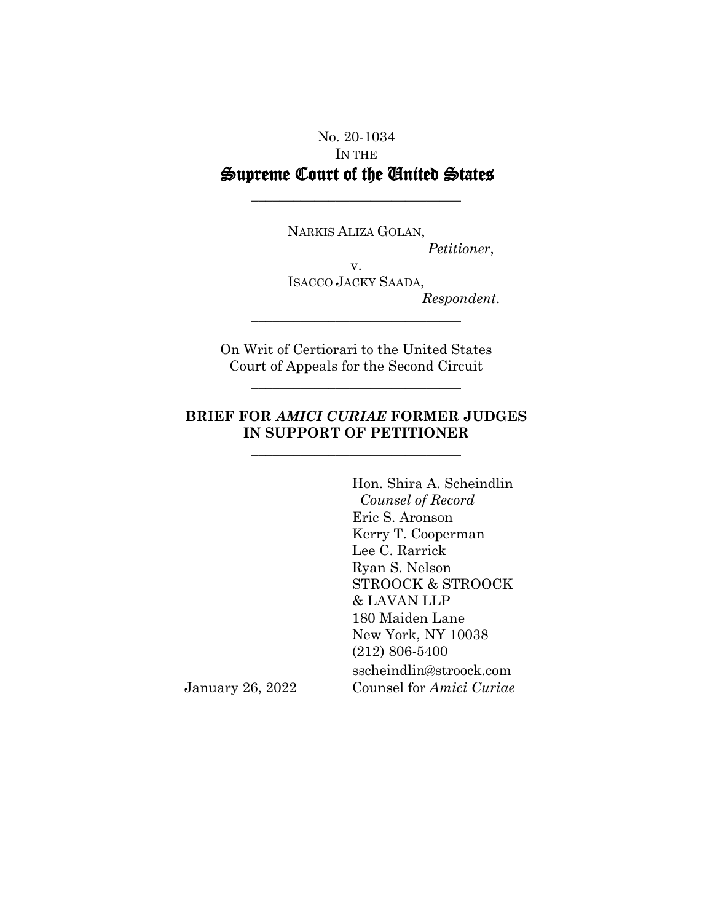## No. 20-1034 IN THE Supreme Court of the United States

\_\_\_\_\_\_\_\_\_\_\_\_\_\_\_\_\_\_\_\_\_\_\_\_\_\_\_\_\_\_

NARKIS ALIZA GOLAN, *Petitioner*, v. ISACCO JACKY SAADA, *Respondent*. \_\_\_\_\_\_\_\_\_\_\_\_\_\_\_\_\_\_\_\_\_\_\_\_\_\_\_\_\_\_

On Writ of Certiorari to the United States Court of Appeals for the Second Circuit

\_\_\_\_\_\_\_\_\_\_\_\_\_\_\_\_\_\_\_\_\_\_\_\_\_\_\_\_\_\_

### **BRIEF FOR** *AMICI CURIAE* **FORMER JUDGES IN SUPPORT OF PETITIONER**

\_\_\_\_\_\_\_\_\_\_\_\_\_\_\_\_\_\_\_\_\_\_\_\_\_\_\_\_\_\_

Hon. Shira A. Scheindlin  *Counsel of Record* Eric S. Aronson Kerry T. Cooperman Lee C. Rarrick Ryan S. Nelson STROOCK & STROOCK & LAVAN LLP 180 Maiden Lane New York, NY 10038 (212) 806-5400 sscheindlin@stroock.com January 26, 2022 Counsel for *Amici Curiae*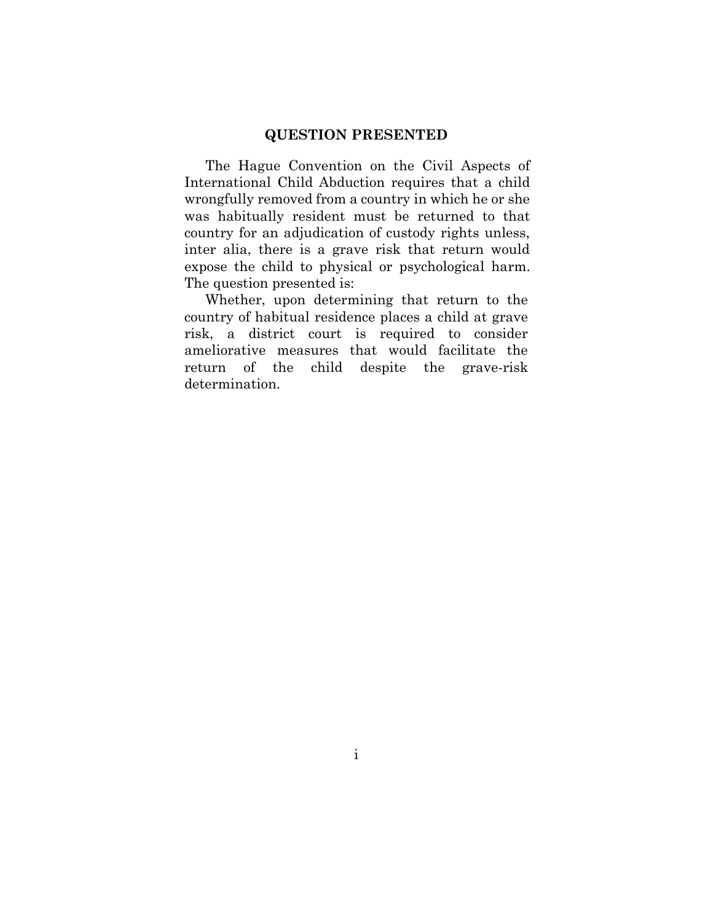#### **QUESTION PRESENTED**

The Hague Convention on the Civil Aspects of International Child Abduction requires that a child wrongfully removed from a country in which he or she was habitually resident must be returned to that country for an adjudication of custody rights unless, inter alia, there is a grave risk that return would expose the child to physical or psychological harm. The question presented is:

Whether, upon determining that return to the country of habitual residence places a child at grave risk, a district court is required to consider ameliorative measures that would facilitate the return of the child despite the grave-risk determination.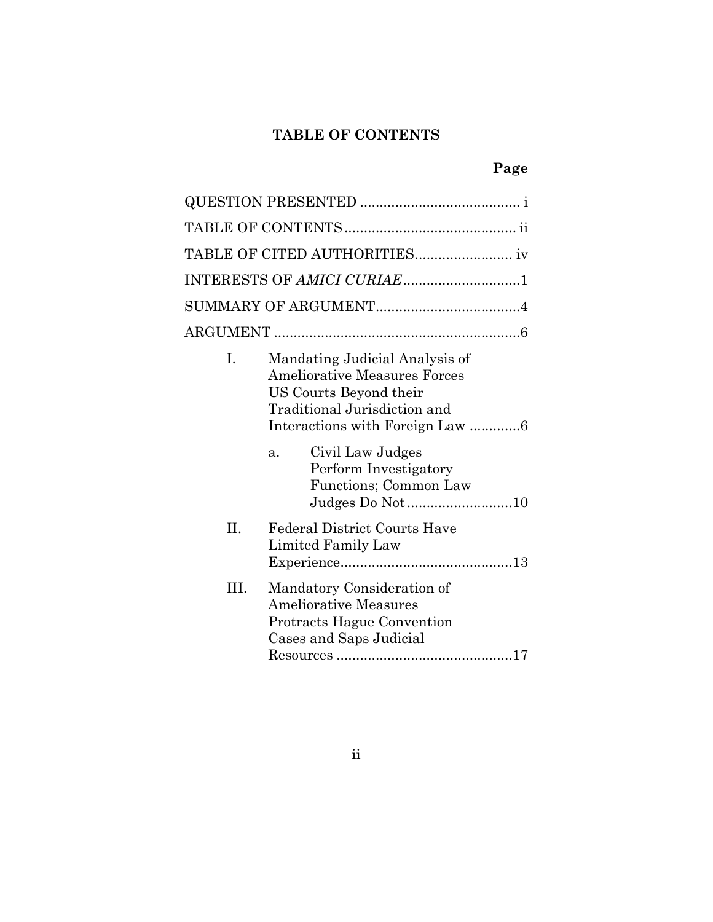## **TABLE OF CONTENTS**

# **Page**

|      | INTERESTS OF AMICI CURIAE1                                                                                                                                                                                                                 |  |  |
|------|--------------------------------------------------------------------------------------------------------------------------------------------------------------------------------------------------------------------------------------------|--|--|
|      |                                                                                                                                                                                                                                            |  |  |
|      |                                                                                                                                                                                                                                            |  |  |
| I.   | Mandating Judicial Analysis of<br><b>Ameliorative Measures Forces</b><br>US Courts Beyond their<br>Traditional Jurisdiction and<br>Civil Law Judges<br>a <sub>1</sub><br>Perform Investigatory<br>Functions; Common Law<br>Judges Do Not10 |  |  |
| II.  | <b>Federal District Courts Have</b><br>Limited Family Law                                                                                                                                                                                  |  |  |
| III. | Mandatory Consideration of<br><b>Ameliorative Measures</b><br><b>Protracts Hague Convention</b><br>Cases and Saps Judicial                                                                                                                 |  |  |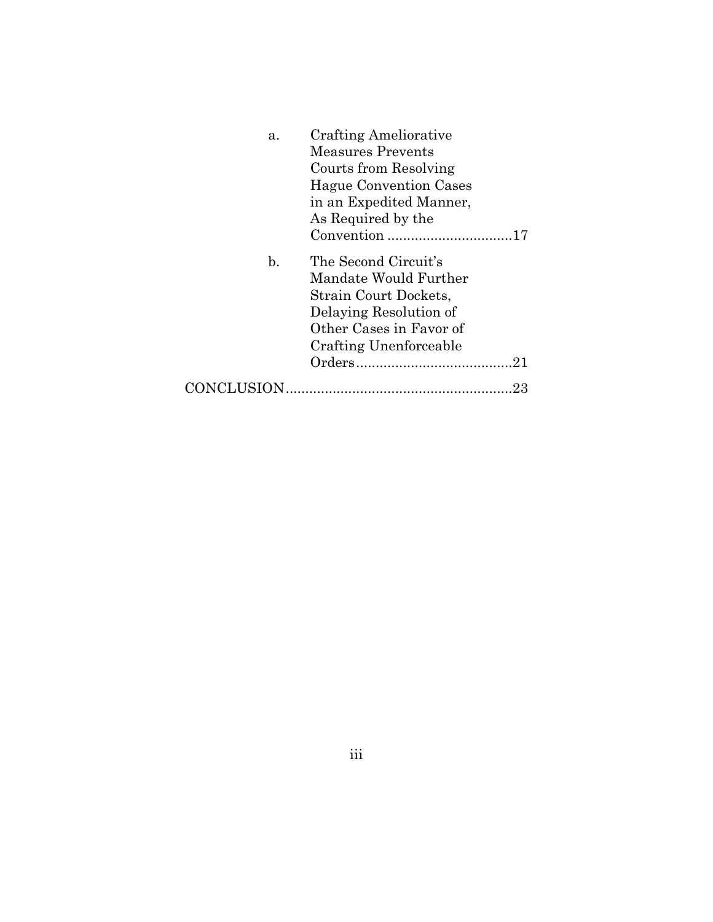| a.             | <b>Crafting Ameliorative</b>  |
|----------------|-------------------------------|
|                | Measures Prevents             |
|                | Courts from Resolving         |
|                | <b>Hague Convention Cases</b> |
|                | in an Expedited Manner,       |
|                | As Required by the            |
|                |                               |
| $\mathbf{b}$ . | The Second Circuit's          |
|                | Mandate Would Further         |
|                | Strain Court Dockets,         |
|                | Delaying Resolution of        |
|                | Other Cases in Favor of       |
|                | Crafting Unenforceable        |
|                |                               |
| CONCLUSION.    | 23                            |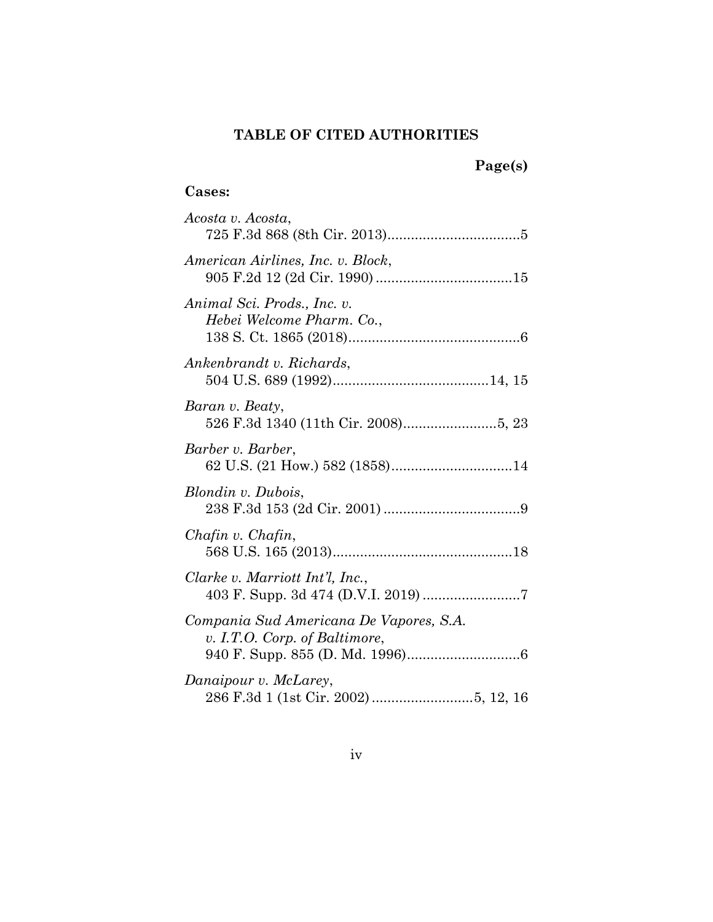## **TABLE OF CITED AUTHORITIES**

## **Page(s)**

## **Cases:**

| Acosta v. Acosta,                                                        |
|--------------------------------------------------------------------------|
| American Airlines, Inc. v. Block,                                        |
| Animal Sci. Prods., Inc. v.<br>Hebei Welcome Pharm. Co.,                 |
| Ankenbrandt v. Richards,                                                 |
| Baran v. Beaty,                                                          |
| Barber v. Barber,<br>62 U.S. (21 How.) 582 (1858)14                      |
| Blondin v. Dubois,                                                       |
| Chafin v. Chafin,                                                        |
| Clarke v. Marriott Int'l, Inc.,                                          |
| Compania Sud Americana De Vapores, S.A.<br>v. I.T.O. Corp. of Baltimore, |
| Danaipour v. McLarey,                                                    |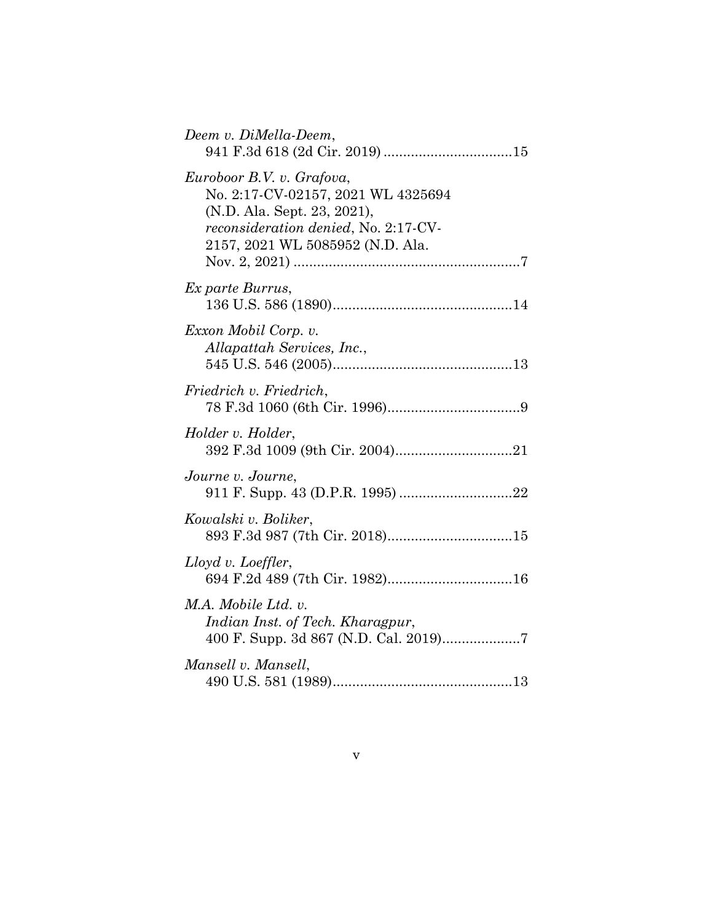| Deem v. DiMella-Deem,                                                                                                                                                             |
|-----------------------------------------------------------------------------------------------------------------------------------------------------------------------------------|
| Euroboor B.V. v. Grafova,<br>No. 2:17-CV-02157, 2021 WL 4325694<br>(N.D. Ala. Sept. 23, 2021),<br><i>reconsideration denied, No. 2:17-CV-</i><br>2157, 2021 WL 5085952 (N.D. Ala. |
| Ex parte Burrus,                                                                                                                                                                  |
| Exxon Mobil Corp. v.<br>Allapattah Services, Inc.,                                                                                                                                |
| Friedrich v. Friedrich,                                                                                                                                                           |
| Holder v. Holder,                                                                                                                                                                 |
| Journe v. Journe,                                                                                                                                                                 |
| Kowalski v. Boliker,<br>893 F.3d 987 (7th Cir. 2018)15                                                                                                                            |
| $Lloyd$ v. Loeffler,                                                                                                                                                              |
| M.A. Mobile Ltd. v.<br>Indian Inst. of Tech. Kharagpur,                                                                                                                           |
| Mansell v. Mansell,                                                                                                                                                               |
|                                                                                                                                                                                   |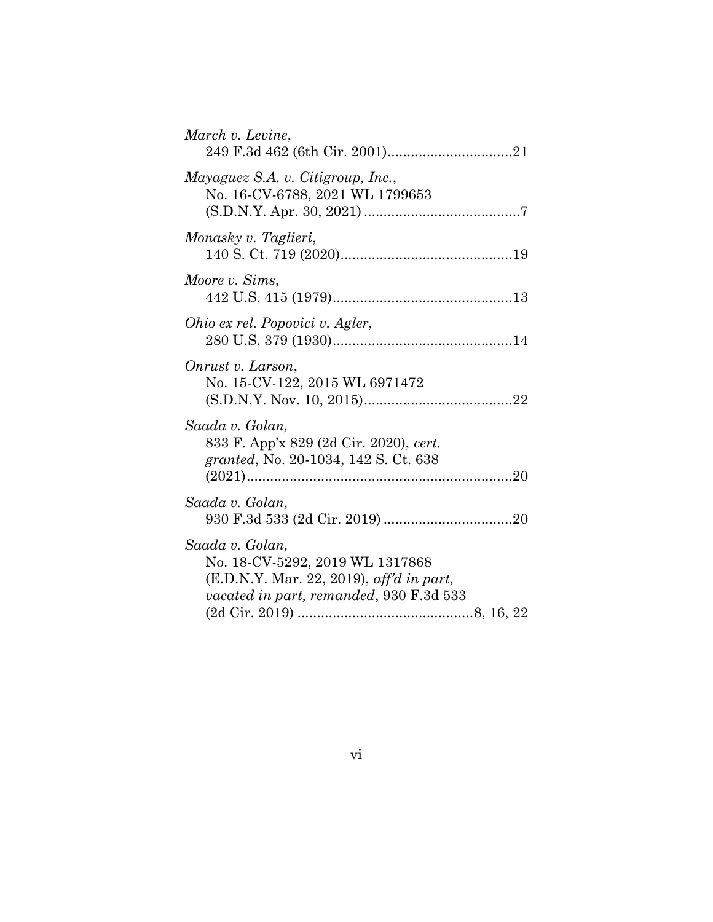| March v. Levine,                                                                                                                           |
|--------------------------------------------------------------------------------------------------------------------------------------------|
| Mayaguez S.A. v. Citigroup, Inc.,<br>No. 16-CV-6788, 2021 WL 1799653                                                                       |
| Monasky v. Taglieri,                                                                                                                       |
| Moore v. Sims,                                                                                                                             |
| Ohio ex rel. Popovici v. Agler,                                                                                                            |
| Onrust v. Larson,<br>No. 15-CV-122, 2015 WL 6971472                                                                                        |
| Saada v. Golan,<br>833 F. App'x 829 (2d Cir. 2020), cert.<br>granted, No. 20-1034, 142 S. Ct. 638                                          |
| Saada v. Golan,                                                                                                                            |
| Saada v. Golan,<br>No. 18-CV-5292, 2019 WL 1317868<br>$(E.D.N.Y. Mar. 22, 2019), aff'din part,$<br>vacated in part, remanded, 930 F.3d 533 |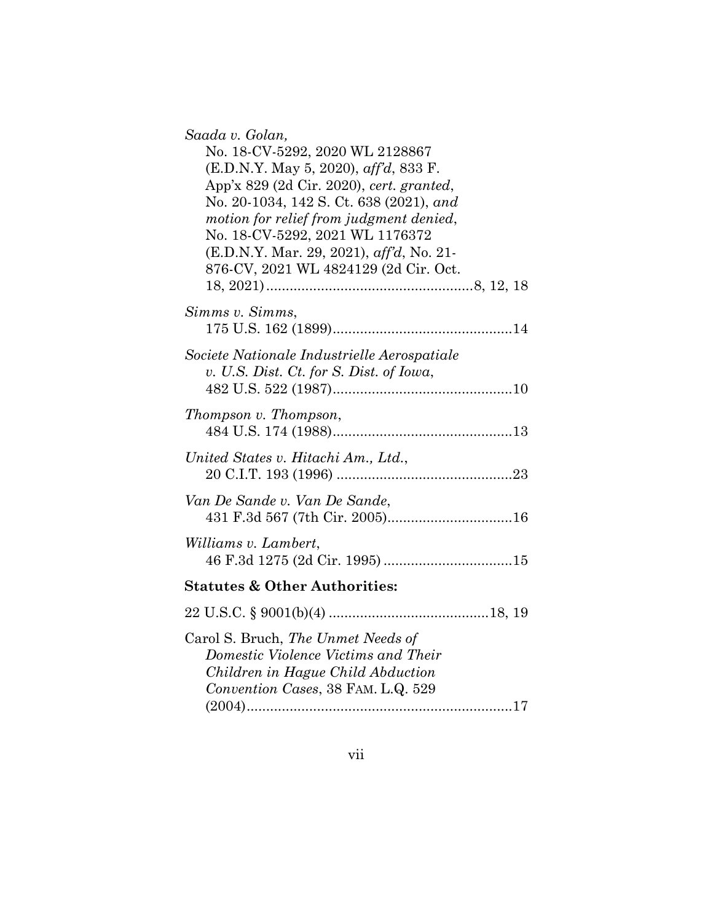| Saada v. Golan,                                                                                                |
|----------------------------------------------------------------------------------------------------------------|
| No. 18-CV-5292, 2020 WL 2128867                                                                                |
| (E.D.N.Y. May 5, 2020), aff'd, 833 F.                                                                          |
| App'x 829 (2d Cir. 2020), cert. granted,                                                                       |
| No. 20-1034, 142 S. Ct. 638 (2021), and                                                                        |
| motion for relief from judgment denied,                                                                        |
| No. 18-CV-5292, 2021 WL 1176372                                                                                |
|                                                                                                                |
| (E.D.N.Y. Mar. 29, 2021), aff'd, No. 21-                                                                       |
| 876-CV, 2021 WL 4824129 (2d Cir. Oct.                                                                          |
|                                                                                                                |
| Simms v. Simms,                                                                                                |
|                                                                                                                |
|                                                                                                                |
| Societe Nationale Industrielle Aerospatiale                                                                    |
| v. U.S. Dist. Ct. for S. Dist. of Iowa,                                                                        |
|                                                                                                                |
|                                                                                                                |
| Thompson v. Thompson,                                                                                          |
|                                                                                                                |
| United States v. Hitachi Am., Ltd.,                                                                            |
|                                                                                                                |
|                                                                                                                |
| Van De Sande v. Van De Sande,                                                                                  |
| 431 F.3d 567 (7th Cir. 2005)16                                                                                 |
|                                                                                                                |
| Williams v. Lambert,                                                                                           |
|                                                                                                                |
| <b>Statutes &amp; Other Authorities:</b>                                                                       |
|                                                                                                                |
|                                                                                                                |
| Carol S. Bruch, The Unmet Needs of<br>Domestic Violence Victims and Their<br>Children in Hague Child Abduction |
| Convention Cases, 38 FAM. L.Q. 529                                                                             |
|                                                                                                                |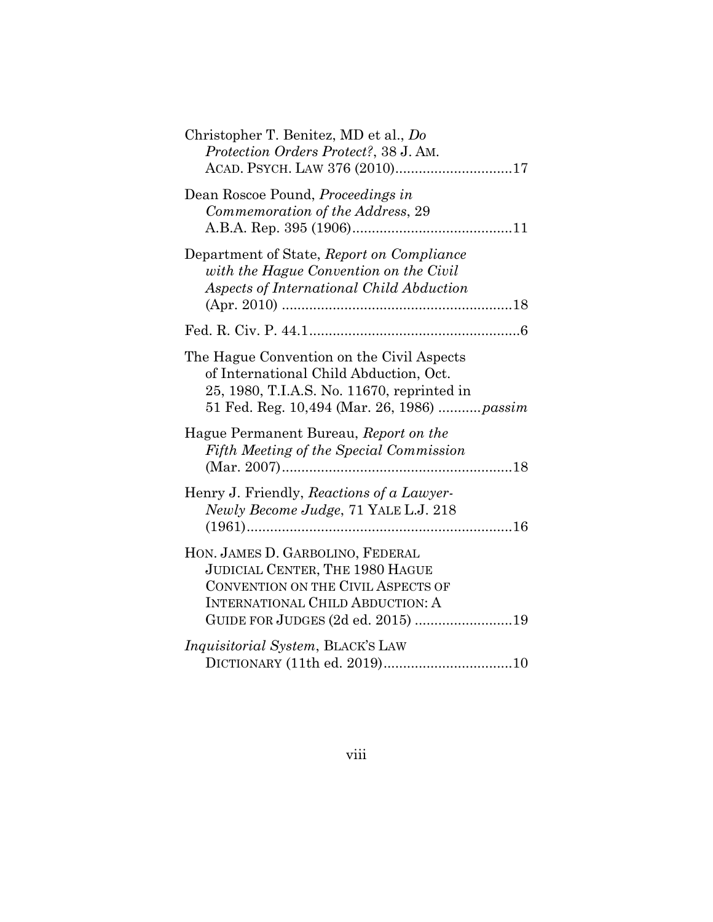| Christopher T. Benitez, MD et al., Do<br>Protection Orders Protect?, 38 J. AM.                                                                                                            |
|-------------------------------------------------------------------------------------------------------------------------------------------------------------------------------------------|
| Dean Roscoe Pound, <i>Proceedings in</i><br>Commemoration of the Address, 29                                                                                                              |
| Department of State, Report on Compliance<br>with the Hague Convention on the Civil<br>Aspects of International Child Abduction                                                           |
|                                                                                                                                                                                           |
| The Hague Convention on the Civil Aspects<br>of International Child Abduction, Oct.<br>25, 1980, T.I.A.S. No. 11670, reprinted in<br>51 Fed. Reg. 10,494 (Mar. 26, 1986)  passim          |
| Hague Permanent Bureau, Report on the<br>Fifth Meeting of the Special Commission                                                                                                          |
| Henry J. Friendly, Reactions of a Lawyer-<br>Newly Become Judge, 71 YALE L.J. 218                                                                                                         |
| HON. JAMES D. GARBOLINO, FEDERAL<br>JUDICIAL CENTER, THE 1980 HAGUE<br>CONVENTION ON THE CIVIL ASPECTS OF<br><b>INTERNATIONAL CHILD ABDUCTION: A</b><br>GUIDE FOR JUDGES (2d ed. 2015) 19 |
| Inquisitorial System, BLACK'S LAW                                                                                                                                                         |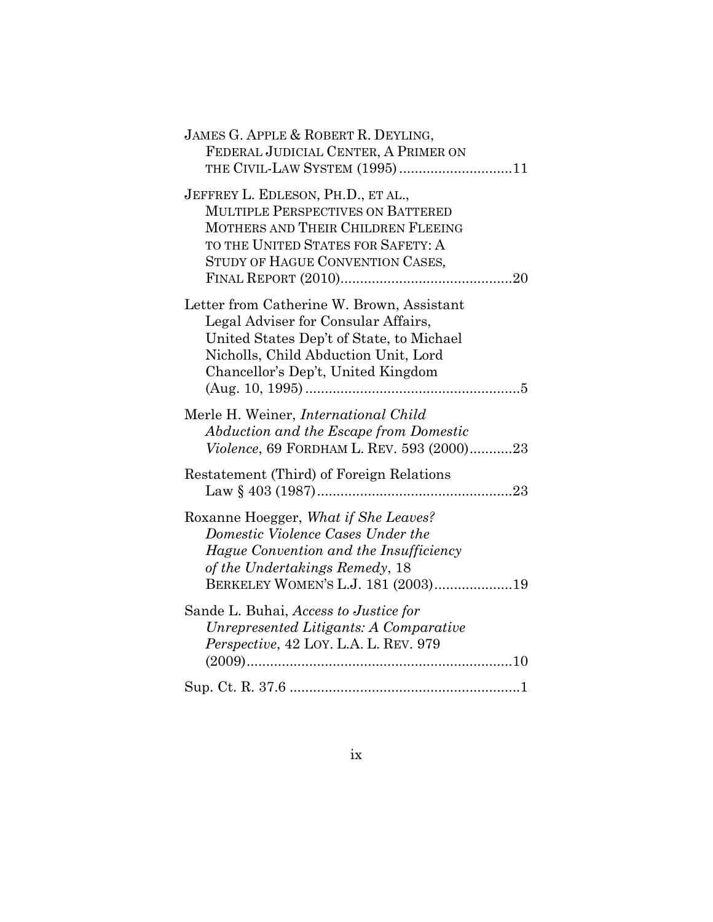| JAMES G. APPLE & ROBERT R. DEYLING,<br>FEDERAL JUDICIAL CENTER, A PRIMER ON<br>THE CIVIL-LAW SYSTEM (1995)11                                                                                               |
|------------------------------------------------------------------------------------------------------------------------------------------------------------------------------------------------------------|
| JEFFREY L. EDLESON, PH.D., ET AL.,<br><b>MULTIPLE PERSPECTIVES ON BATTERED</b><br>MOTHERS AND THEIR CHILDREN FLEEING<br>TO THE UNITED STATES FOR SAFETY: A<br>STUDY OF HAGUE CONVENTION CASES,             |
| Letter from Catherine W. Brown, Assistant<br>Legal Adviser for Consular Affairs,<br>United States Dep't of State, to Michael<br>Nicholls, Child Abduction Unit, Lord<br>Chancellor's Dep't, United Kingdom |
| Merle H. Weiner, <i>International Child</i><br>Abduction and the Escape from Domestic<br>Violence, 69 FORDHAM L. REV. 593 (2000)23                                                                         |
| Restatement (Third) of Foreign Relations                                                                                                                                                                   |
| Roxanne Hoegger, What if She Leaves?<br>Domestic Violence Cases Under the<br>Hague Convention and the Insufficiency<br>of the Undertakings Remedy, 18<br>BERKELEY WOMEN'S L.J. 181 (2003)19                |
| Sande L. Buhai, Access to Justice for<br>Unrepresented Litigants: A Comparative<br>Perspective, 42 LOY. L.A. L. REV. 979                                                                                   |
|                                                                                                                                                                                                            |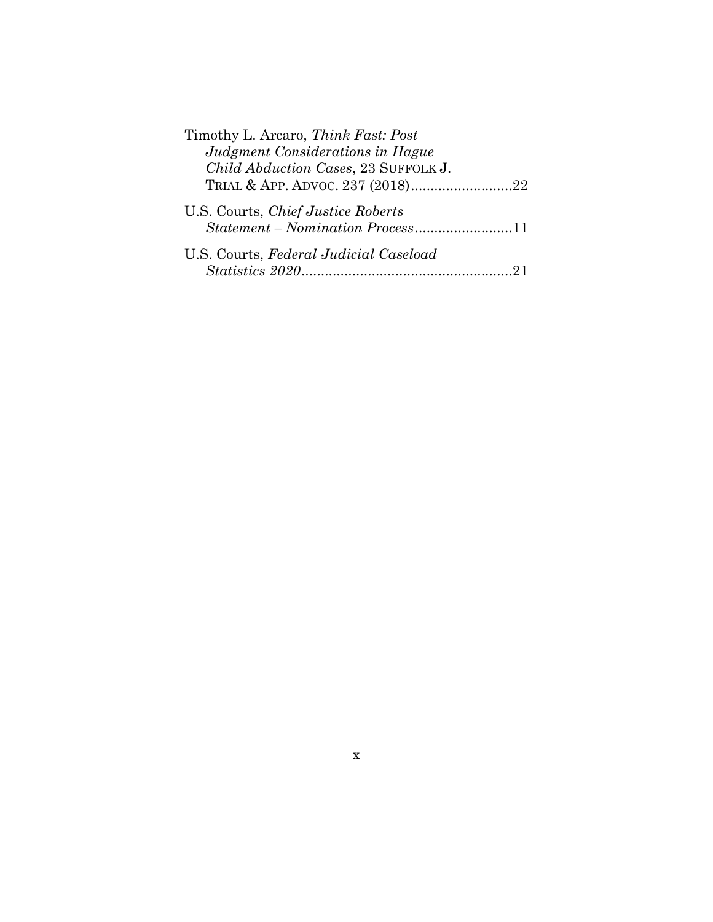| Timothy L. Arcaro, Think Fast: Post                                           |
|-------------------------------------------------------------------------------|
| Judgment Considerations in Hague                                              |
| Child Abduction Cases, 23 SUFFOLK J.                                          |
|                                                                               |
| U.S. Courts, <i>Chief Justice Roberts</i><br>Statement – Nomination Process11 |
| U.S. Courts, Federal Judicial Caseload                                        |
|                                                                               |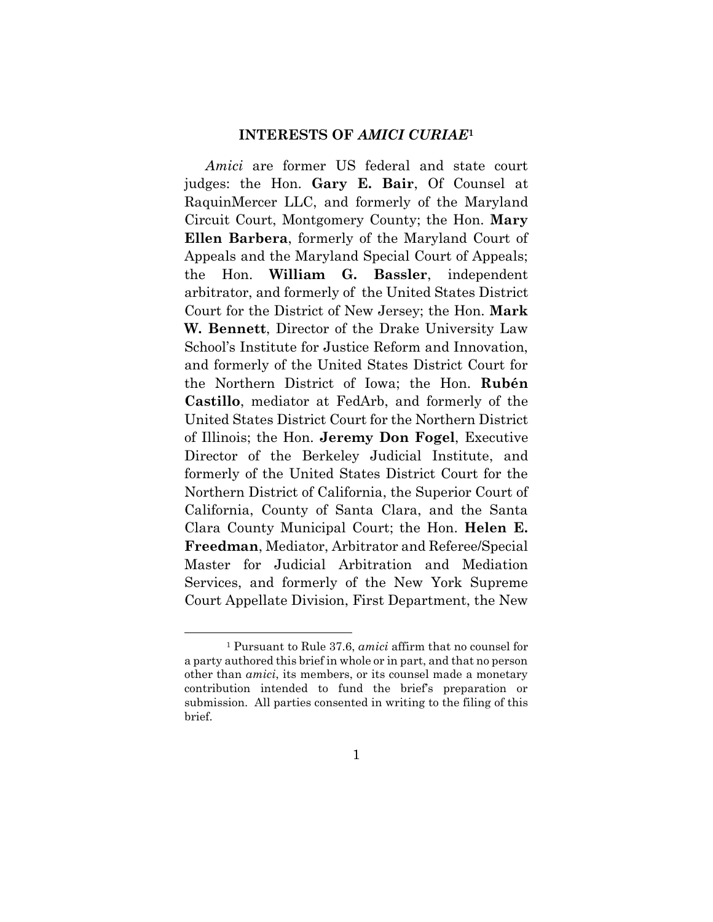#### **INTERESTS OF** *AMICI CURIAE***<sup>1</sup>**

*Amici* are former US federal and state court judges: the Hon. **Gary E. Bair**, Of Counsel at RaquinMercer LLC, and formerly of the Maryland Circuit Court, Montgomery County; the Hon. **Mary Ellen Barbera**, formerly of the Maryland Court of Appeals and the Maryland Special Court of Appeals; the Hon. **William G. Bassler**, independent arbitrator, and formerly of the United States District Court for the District of New Jersey; the Hon. **Mark W. Bennett**, Director of the Drake University Law School's Institute for Justice Reform and Innovation, and formerly of the United States District Court for the Northern District of Iowa; the Hon. **Rubén Castillo**, mediator at FedArb, and formerly of the United States District Court for the Northern District of Illinois; the Hon. **Jeremy Don Fogel**, Executive Director of the Berkeley Judicial Institute, and formerly of the United States District Court for the Northern District of California, the Superior Court of California, County of Santa Clara, and the Santa Clara County Municipal Court; the Hon. **Helen E. Freedman**, Mediator, Arbitrator and Referee/Special Master for Judicial Arbitration and Mediation Services, and formerly of the New York Supreme Court Appellate Division, First Department, the New

<sup>1</sup> Pursuant to Rule 37.6, *amici* affirm that no counsel for a party authored this brief in whole or in part, and that no person other than *amici*, its members, or its counsel made a monetary contribution intended to fund the brief's preparation or submission. All parties consented in writing to the filing of this brief.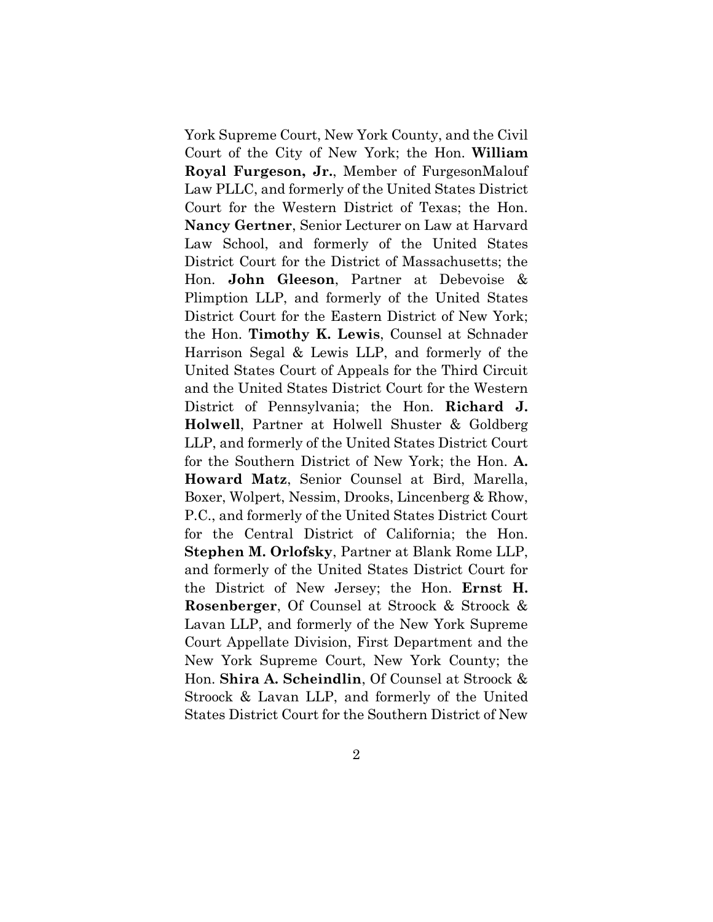York Supreme Court, New York County, and the Civil Court of the City of New York; the Hon. **William Royal Furgeson, Jr.**, Member of FurgesonMalouf Law PLLC, and formerly of the United States District Court for the Western District of Texas; the Hon. **Nancy Gertner**, Senior Lecturer on Law at Harvard Law School, and formerly of the United States District Court for the District of Massachusetts; the Hon. **John Gleeson**, Partner at Debevoise & Plimption LLP, and formerly of the United States District Court for the Eastern District of New York; the Hon. **Timothy K. Lewis**, Counsel at Schnader Harrison Segal & Lewis LLP, and formerly of the United States Court of Appeals for the Third Circuit and the United States District Court for the Western District of Pennsylvania; the Hon. **Richard J. Holwell**, Partner at Holwell Shuster & Goldberg LLP, and formerly of the United States District Court for the Southern District of New York; the Hon. **A. Howard Matz**, Senior Counsel at Bird, Marella, Boxer, Wolpert, Nessim, Drooks, Lincenberg & Rhow, P.C., and formerly of the United States District Court for the Central District of California; the Hon. **Stephen M. Orlofsky**, Partner at Blank Rome LLP, and formerly of the United States District Court for the District of New Jersey; the Hon. **Ernst H. Rosenberger**, Of Counsel at Stroock & Stroock & Lavan LLP, and formerly of the New York Supreme Court Appellate Division, First Department and the New York Supreme Court, New York County; the Hon. **Shira A. Scheindlin**, Of Counsel at Stroock & Stroock & Lavan LLP, and formerly of the United States District Court for the Southern District of New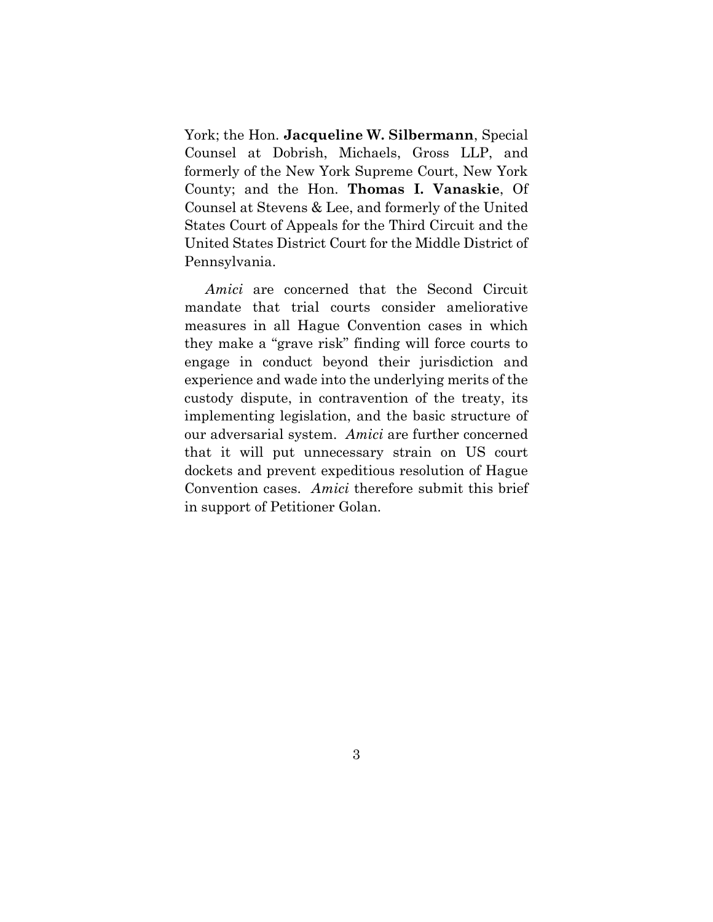York; the Hon. **Jacqueline W. Silbermann**, Special Counsel at Dobrish, Michaels, Gross LLP, and formerly of the New York Supreme Court, New York County; and the Hon. **Thomas I. Vanaskie**, Of Counsel at Stevens & Lee, and formerly of the United States Court of Appeals for the Third Circuit and the United States District Court for the Middle District of Pennsylvania.

*Amici* are concerned that the Second Circuit mandate that trial courts consider ameliorative measures in all Hague Convention cases in which they make a "grave risk" finding will force courts to engage in conduct beyond their jurisdiction and experience and wade into the underlying merits of the custody dispute, in contravention of the treaty, its implementing legislation, and the basic structure of our adversarial system. *Amici* are further concerned that it will put unnecessary strain on US court dockets and prevent expeditious resolution of Hague Convention cases. *Amici* therefore submit this brief in support of Petitioner Golan.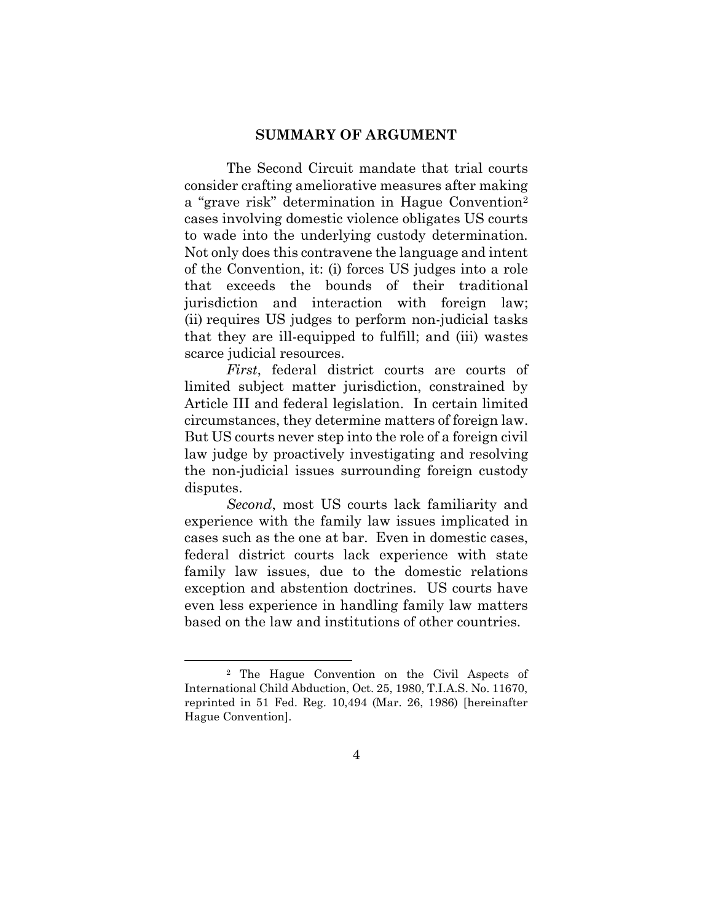#### **SUMMARY OF ARGUMENT**

The Second Circuit mandate that trial courts consider crafting ameliorative measures after making a "grave risk" determination in Hague Convention<sup>2</sup> cases involving domestic violence obligates US courts to wade into the underlying custody determination. Not only does this contravene the language and intent of the Convention, it: (i) forces US judges into a role that exceeds the bounds of their traditional jurisdiction and interaction with foreign law; (ii) requires US judges to perform non-judicial tasks that they are ill-equipped to fulfill; and (iii) wastes scarce judicial resources.

*First*, federal district courts are courts of limited subject matter jurisdiction, constrained by Article III and federal legislation. In certain limited circumstances, they determine matters of foreign law. But US courts never step into the role of a foreign civil law judge by proactively investigating and resolving the non-judicial issues surrounding foreign custody disputes.

*Second*, most US courts lack familiarity and experience with the family law issues implicated in cases such as the one at bar. Even in domestic cases, federal district courts lack experience with state family law issues, due to the domestic relations exception and abstention doctrines. US courts have even less experience in handling family law matters based on the law and institutions of other countries.

<sup>2</sup> The Hague Convention on the Civil Aspects of International Child Abduction, Oct. 25, 1980, T.I.A.S. No. 11670, reprinted in 51 Fed. Reg. 10,494 (Mar. 26, 1986) [hereinafter Hague Convention].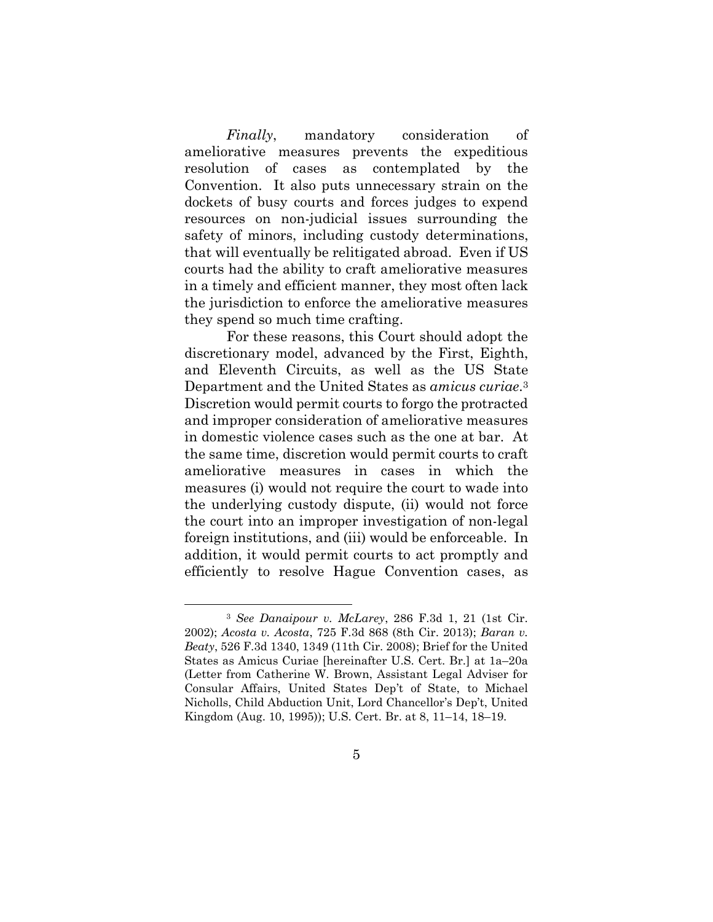*Finally*, mandatory consideration of ameliorative measures prevents the expeditious resolution of cases as contemplated by the Convention. It also puts unnecessary strain on the dockets of busy courts and forces judges to expend resources on non-judicial issues surrounding the safety of minors, including custody determinations, that will eventually be relitigated abroad. Even if US courts had the ability to craft ameliorative measures in a timely and efficient manner, they most often lack the jurisdiction to enforce the ameliorative measures they spend so much time crafting.

For these reasons, this Court should adopt the discretionary model, advanced by the First, Eighth, and Eleventh Circuits, as well as the US State Department and the United States as *amicus curiae*. 3 Discretion would permit courts to forgo the protracted and improper consideration of ameliorative measures in domestic violence cases such as the one at bar. At the same time, discretion would permit courts to craft ameliorative measures in cases in which the measures (i) would not require the court to wade into the underlying custody dispute, (ii) would not force the court into an improper investigation of non-legal foreign institutions, and (iii) would be enforceable. In addition, it would permit courts to act promptly and efficiently to resolve Hague Convention cases, as

<sup>3</sup> *See Danaipour v. McLarey*, 286 F.3d 1, 21 (1st Cir. 2002); *Acosta v. Acosta*, 725 F.3d 868 (8th Cir. 2013); *Baran v. Beaty*, 526 F.3d 1340, 1349 (11th Cir. 2008); Brief for the United States as Amicus Curiae [hereinafter U.S. Cert. Br.] at 1a–20a (Letter from Catherine W. Brown, Assistant Legal Adviser for Consular Affairs, United States Dep't of State, to Michael Nicholls, Child Abduction Unit, Lord Chancellor's Dep't, United Kingdom (Aug. 10, 1995)); U.S. Cert. Br. at 8, 11–14, 18–19.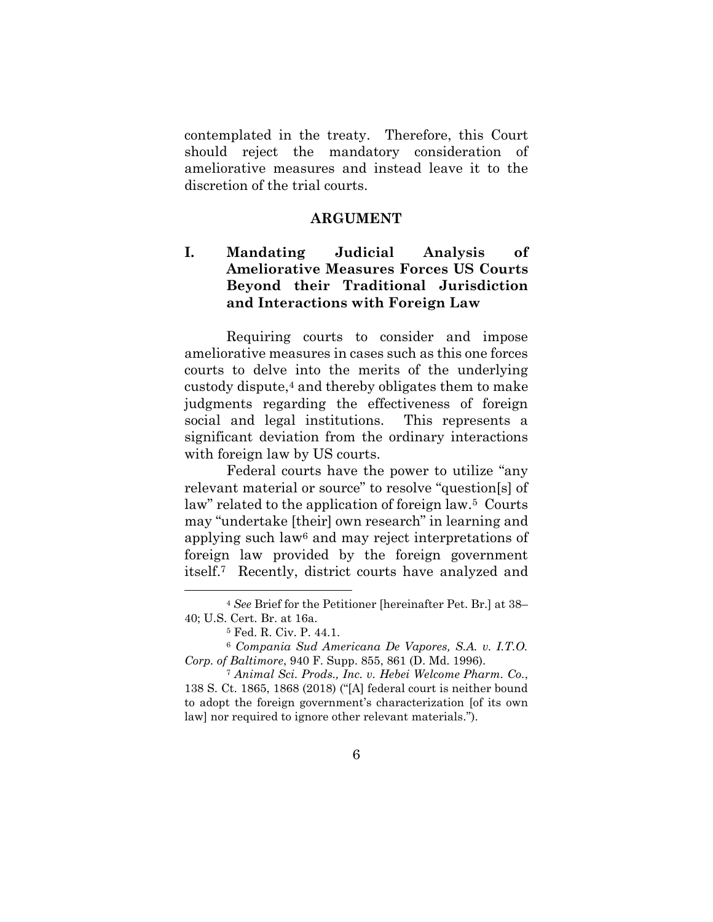contemplated in the treaty. Therefore, this Court should reject the mandatory consideration of ameliorative measures and instead leave it to the discretion of the trial courts.

#### **ARGUMENT**

### **I. Mandating Judicial Analysis of Ameliorative Measures Forces US Courts Beyond their Traditional Jurisdiction and Interactions with Foreign Law**

Requiring courts to consider and impose ameliorative measures in cases such as this one forces courts to delve into the merits of the underlying custody dispute, <sup>4</sup> and thereby obligates them to make judgments regarding the effectiveness of foreign social and legal institutions. This represents a significant deviation from the ordinary interactions with foreign law by US courts.

Federal courts have the power to utilize "any relevant material or source" to resolve "question[s] of law" related to the application of foreign law.<sup>5</sup> Courts may "undertake [their] own research" in learning and applying such law<sup>6</sup> and may reject interpretations of foreign law provided by the foreign government itself.7 Recently, district courts have analyzed and

<sup>4</sup> *See* Brief for the Petitioner [hereinafter Pet. Br.] at 38– 40; U.S. Cert. Br. at 16a.

<sup>5</sup> Fed. R. Civ. P. 44.1.

<sup>6</sup> *Compania Sud Americana De Vapores, S.A. v. I.T.O. Corp. of Baltimore*, 940 F. Supp. 855, 861 (D. Md. 1996).

<sup>7</sup> *Animal Sci. Prods., Inc. v. Hebei Welcome Pharm. Co.*, 138 S. Ct. 1865, 1868 (2018) ("[A] federal court is neither bound to adopt the foreign government's characterization [of its own law] nor required to ignore other relevant materials.").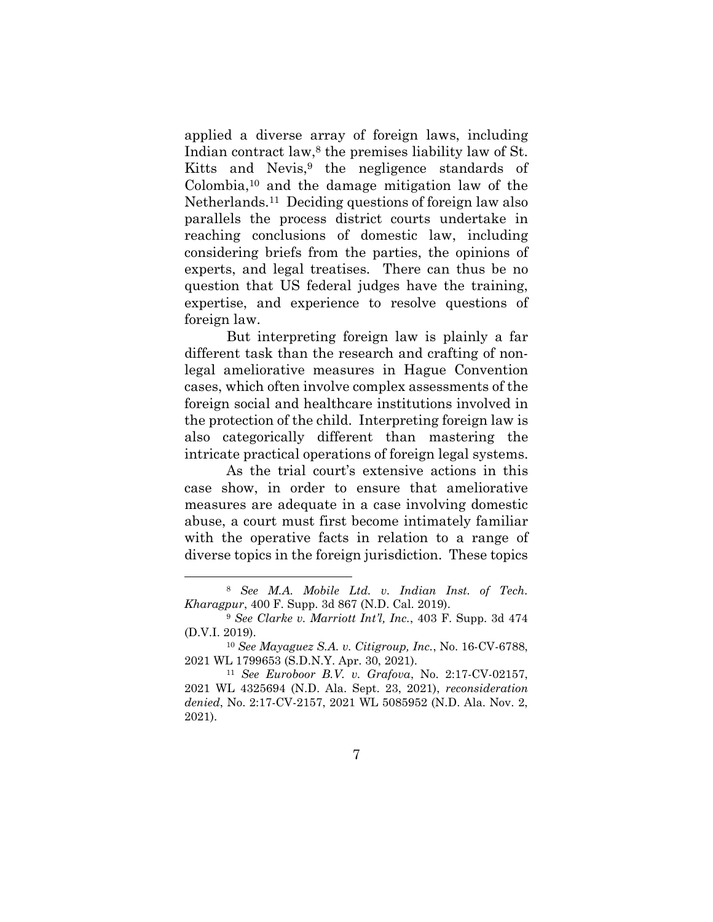applied a diverse array of foreign laws, including Indian contract law,<sup>8</sup> the premises liability law of St. Kitts and Nevis, <sup>9</sup> the negligence standards of Colombia,<sup>10</sup> and the damage mitigation law of the Netherlands.<sup>11</sup> Deciding questions of foreign law also parallels the process district courts undertake in reaching conclusions of domestic law, including considering briefs from the parties, the opinions of experts, and legal treatises. There can thus be no question that US federal judges have the training, expertise, and experience to resolve questions of foreign law.

But interpreting foreign law is plainly a far different task than the research and crafting of nonlegal ameliorative measures in Hague Convention cases, which often involve complex assessments of the foreign social and healthcare institutions involved in the protection of the child. Interpreting foreign law is also categorically different than mastering the intricate practical operations of foreign legal systems.

As the trial court's extensive actions in this case show, in order to ensure that ameliorative measures are adequate in a case involving domestic abuse, a court must first become intimately familiar with the operative facts in relation to a range of diverse topics in the foreign jurisdiction. These topics

<sup>8</sup> *See M.A. Mobile Ltd. v. Indian Inst. of Tech. Kharagpur*, 400 F. Supp. 3d 867 (N.D. Cal. 2019).

<sup>9</sup> *See Clarke v. Marriott Int'l, Inc.*, 403 F. Supp. 3d 474 (D.V.I. 2019).

<sup>10</sup> *See Mayaguez S.A. v. Citigroup, Inc.*, No. 16-CV-6788, 2021 WL 1799653 (S.D.N.Y. Apr. 30, 2021).

<sup>11</sup> *See Euroboor B.V. v. Grafova*, No. 2:17-CV-02157, 2021 WL 4325694 (N.D. Ala. Sept. 23, 2021), *reconsideration denied*, No. 2:17-CV-2157, 2021 WL 5085952 (N.D. Ala. Nov. 2, 2021).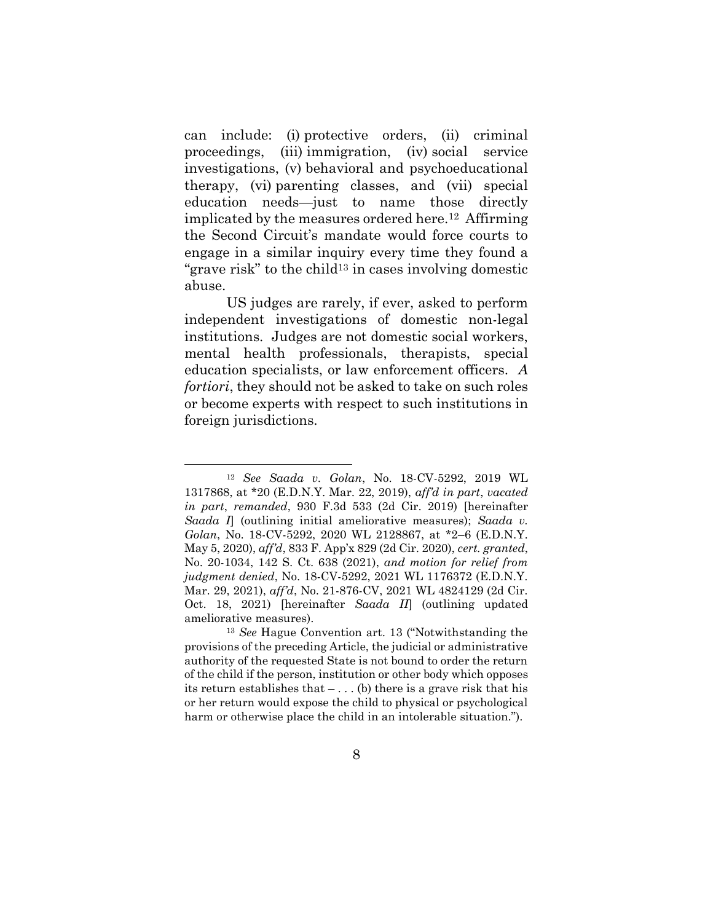can include: (i) protective orders, (ii) criminal proceedings, (iii) immigration, (iv) social service investigations, (v) behavioral and psychoeducational therapy, (vi) parenting classes, and (vii) special education needs—just to name those directly implicated by the measures ordered here.<sup>12</sup> Affirming the Second Circuit's mandate would force courts to engage in a similar inquiry every time they found a "grave risk" to the child<sup>13</sup> in cases involving domestic abuse.

US judges are rarely, if ever, asked to perform independent investigations of domestic non-legal institutions. Judges are not domestic social workers, mental health professionals, therapists, special education specialists, or law enforcement officers. *A fortiori*, they should not be asked to take on such roles or become experts with respect to such institutions in foreign jurisdictions.

<sup>12</sup> *See Saada v. Golan*, No. 18-CV-5292, 2019 WL 1317868, at \*20 (E.D.N.Y. Mar. 22, 2019), *aff'd in part*, *vacated in part*, *remanded*, 930 F.3d 533 (2d Cir. 2019) [hereinafter *Saada I*] (outlining initial ameliorative measures); *Saada v. Golan*, No. 18-CV-5292, 2020 WL 2128867, at \*2–6 (E.D.N.Y. May 5, 2020), *aff'd*, 833 F. App'x 829 (2d Cir. 2020), *cert. granted*, No. 20-1034, 142 S. Ct. 638 (2021), *and motion for relief from judgment denied*, No. 18-CV-5292, 2021 WL 1176372 (E.D.N.Y. Mar. 29, 2021), *aff'd*, No. 21-876-CV, 2021 WL 4824129 (2d Cir. Oct. 18, 2021) [hereinafter *Saada II*] (outlining updated ameliorative measures).

<sup>13</sup> *See* Hague Convention art. 13 ("Notwithstanding the provisions of the preceding Article, the judicial or administrative authority of the requested State is not bound to order the return of the child if the person, institution or other body which opposes its return establishes that  $- \dots$  (b) there is a grave risk that his or her return would expose the child to physical or psychological harm or otherwise place the child in an intolerable situation.").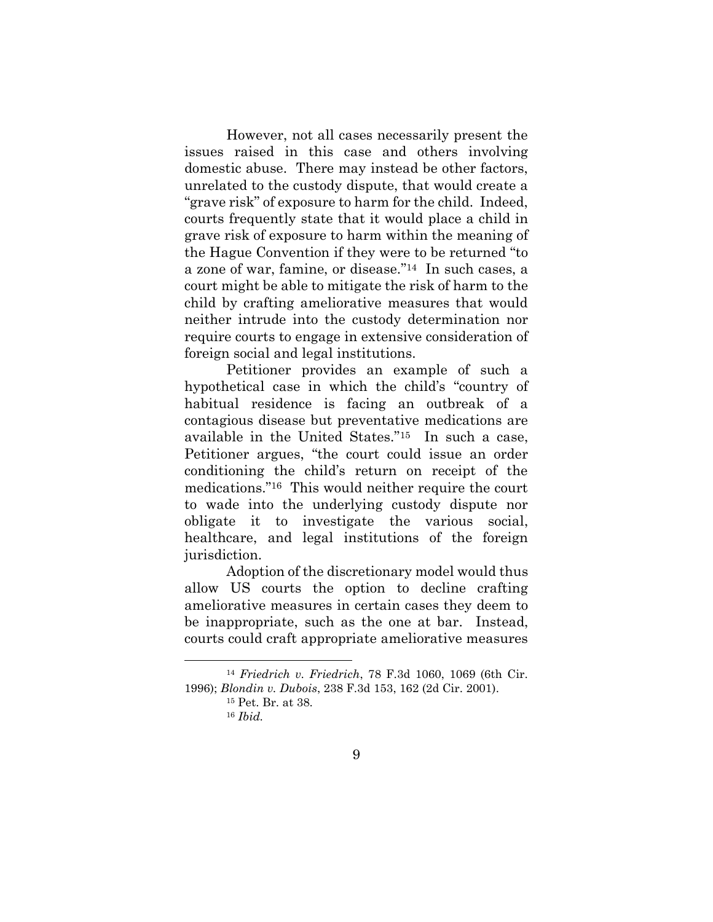However, not all cases necessarily present the issues raised in this case and others involving domestic abuse. There may instead be other factors, unrelated to the custody dispute, that would create a "grave risk" of exposure to harm for the child. Indeed, courts frequently state that it would place a child in grave risk of exposure to harm within the meaning of the Hague Convention if they were to be returned "to a zone of war, famine, or disease." <sup>14</sup> In such cases, a court might be able to mitigate the risk of harm to the child by crafting ameliorative measures that would neither intrude into the custody determination nor require courts to engage in extensive consideration of foreign social and legal institutions.

Petitioner provides an example of such a hypothetical case in which the child's "country of habitual residence is facing an outbreak of a contagious disease but preventative medications are available in the United States."15 In such a case, Petitioner argues, "the court could issue an order conditioning the child's return on receipt of the medications."16 This would neither require the court to wade into the underlying custody dispute nor obligate it to investigate the various social, healthcare, and legal institutions of the foreign jurisdiction.

Adoption of the discretionary model would thus allow US courts the option to decline crafting ameliorative measures in certain cases they deem to be inappropriate, such as the one at bar. Instead, courts could craft appropriate ameliorative measures

<sup>14</sup> *Friedrich v. Friedrich*, 78 F.3d 1060, 1069 (6th Cir. 1996); *Blondin v. Dubois*, 238 F.3d 153, 162 (2d Cir. 2001).

<sup>15</sup> Pet. Br. at 38. <sup>16</sup> *Ibid.*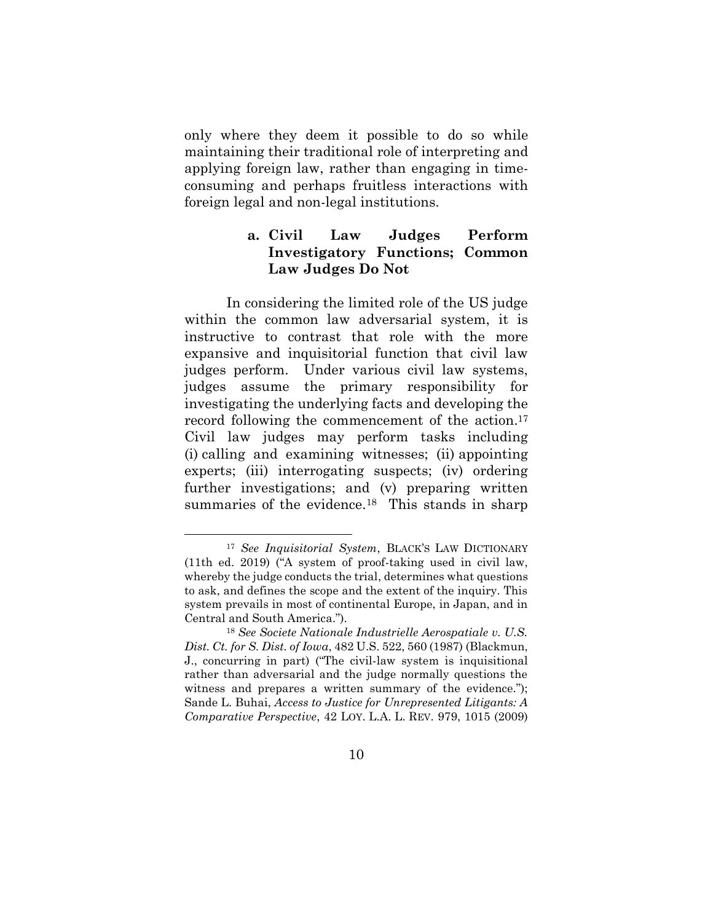only where they deem it possible to do so while maintaining their traditional role of interpreting and applying foreign law, rather than engaging in timeconsuming and perhaps fruitless interactions with foreign legal and non-legal institutions.

### **a. Civil Law Judges Perform Investigatory Functions; Common Law Judges Do Not**

In considering the limited role of the US judge within the common law adversarial system, it is instructive to contrast that role with the more expansive and inquisitorial function that civil law judges perform. Under various civil law systems, judges assume the primary responsibility for investigating the underlying facts and developing the record following the commencement of the action.<sup>17</sup> Civil law judges may perform tasks including (i) calling and examining witnesses; (ii) appointing experts; (iii) interrogating suspects; (iv) ordering further investigations; and (v) preparing written summaries of the evidence.<sup>18</sup> This stands in sharp

<sup>17</sup> *See Inquisitorial System*, BLACK'S LAW DICTIONARY (11th ed. 2019) ("A system of proof-taking used in civil law, whereby the judge conducts the trial, determines what questions to ask, and defines the scope and the extent of the inquiry. This system prevails in most of continental Europe, in Japan, and in Central and South America.").

<sup>18</sup> *See Societe Nationale Industrielle Aerospatiale v. U.S. Dist. Ct. for S. Dist. of Iowa*, 482 U.S. 522, 560 (1987) (Blackmun, J., concurring in part) ("The civil-law system is inquisitional rather than adversarial and the judge normally questions the witness and prepares a written summary of the evidence."); Sande L. Buhai, *Access to Justice for Unrepresented Litigants: A Comparative Perspective*, 42 LOY. L.A. L. REV. 979, 1015 (2009)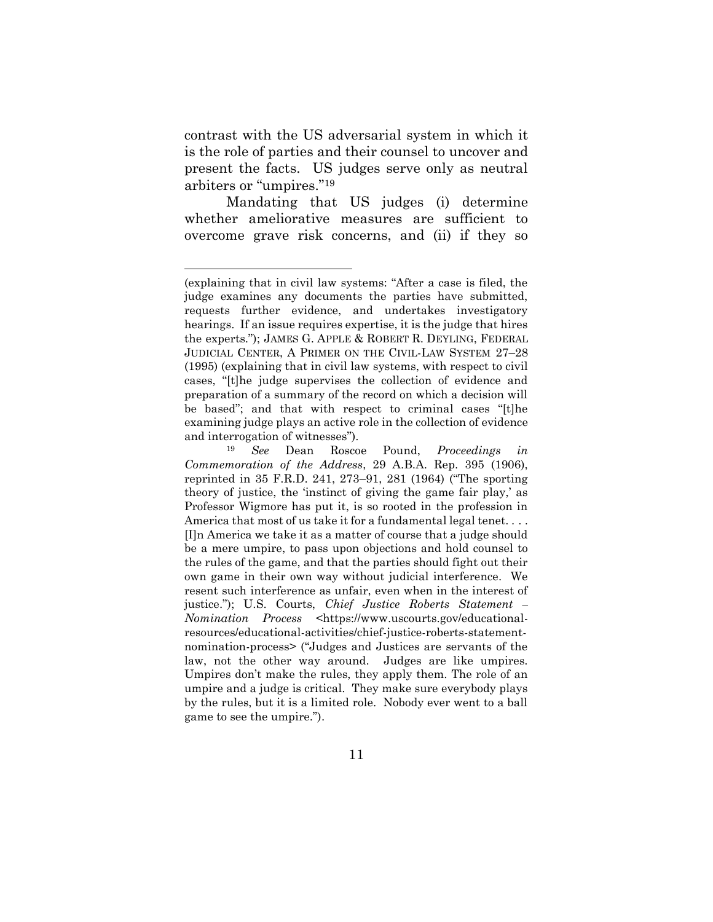contrast with the US adversarial system in which it is the role of parties and their counsel to uncover and present the facts. US judges serve only as neutral arbiters or "umpires."<sup>19</sup>

Mandating that US judges (i) determine whether ameliorative measures are sufficient to overcome grave risk concerns, and (ii) if they so

<sup>(</sup>explaining that in civil law systems: "After a case is filed, the judge examines any documents the parties have submitted, requests further evidence, and undertakes investigatory hearings. If an issue requires expertise, it is the judge that hires the experts."); JAMES G. APPLE & ROBERT R. DEYLING, FEDERAL JUDICIAL CENTER, A PRIMER ON THE CIVIL-LAW SYSTEM 27–28 (1995) (explaining that in civil law systems, with respect to civil cases, "[t]he judge supervises the collection of evidence and preparation of a summary of the record on which a decision will be based"; and that with respect to criminal cases "[t]he examining judge plays an active role in the collection of evidence and interrogation of witnesses").

<sup>19</sup> *See* Dean Roscoe Pound, *Proceedings in Commemoration of the Address*, 29 A.B.A. Rep. 395 (1906), reprinted in 35 F.R.D. 241, 273–91, 281 (1964) ("The sporting theory of justice, the 'instinct of giving the game fair play,' as Professor Wigmore has put it, is so rooted in the profession in America that most of us take it for a fundamental legal tenet. . . . [I]n America we take it as a matter of course that a judge should be a mere umpire, to pass upon objections and hold counsel to the rules of the game, and that the parties should fight out their own game in their own way without judicial interference. We resent such interference as unfair, even when in the interest of justice."); U.S. Courts, *Chief Justice Roberts Statement – Nomination Process* <https://www.uscourts.gov/educationalresources/educational-activities/chief-justice-roberts-statementnomination-process> ("Judges and Justices are servants of the law, not the other way around. Judges are like umpires. Umpires don't make the rules, they apply them. The role of an umpire and a judge is critical. They make sure everybody plays by the rules, but it is a limited role. Nobody ever went to a ball game to see the umpire.").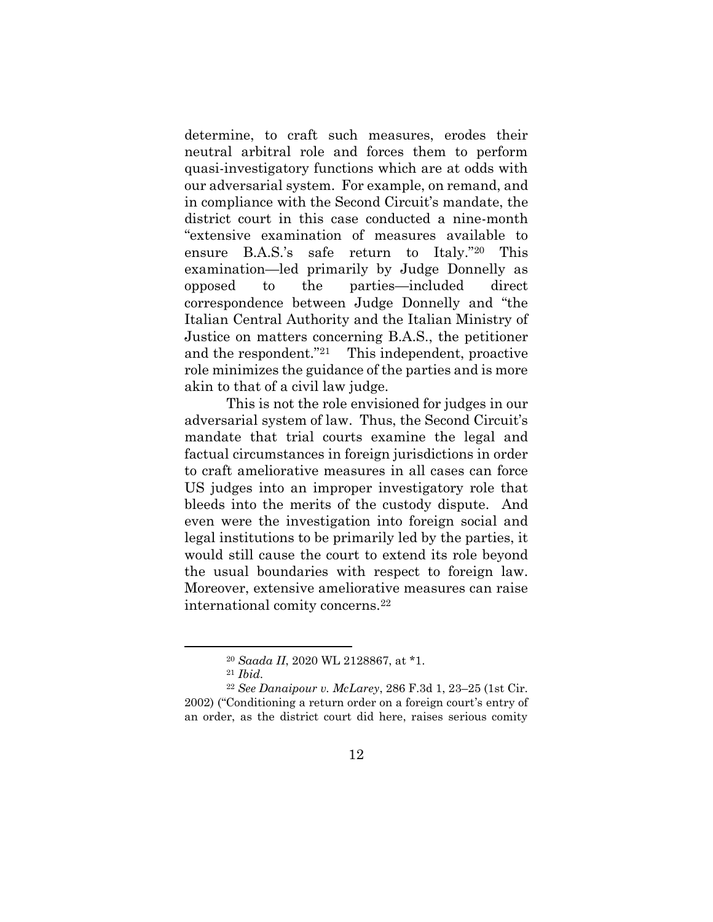determine, to craft such measures, erodes their neutral arbitral role and forces them to perform quasi-investigatory functions which are at odds with our adversarial system. For example, on remand, and in compliance with the Second Circuit's mandate, the district court in this case conducted a nine-month "extensive examination of measures available to ensure B.A.S.'s safe return to Italy."<sup>20</sup> This examination—led primarily by Judge Donnelly as opposed to the parties—included direct correspondence between Judge Donnelly and "the Italian Central Authority and the Italian Ministry of Justice on matters concerning B.A.S., the petitioner and the respondent."<sup>21</sup> This independent, proactive role minimizes the guidance of the parties and is more akin to that of a civil law judge.

This is not the role envisioned for judges in our adversarial system of law. Thus, the Second Circuit's mandate that trial courts examine the legal and factual circumstances in foreign jurisdictions in order to craft ameliorative measures in all cases can force US judges into an improper investigatory role that bleeds into the merits of the custody dispute. And even were the investigation into foreign social and legal institutions to be primarily led by the parties, it would still cause the court to extend its role beyond the usual boundaries with respect to foreign law. Moreover, extensive ameliorative measures can raise international comity concerns.<sup>22</sup>

<sup>20</sup> *Saada II*, 2020 WL 2128867, at \*1.

<sup>21</sup> *Ibid.*

<sup>22</sup> *See Danaipour v. McLarey*, 286 F.3d 1, 23–25 (1st Cir. 2002) ("Conditioning a return order on a foreign court's entry of an order, as the district court did here, raises serious comity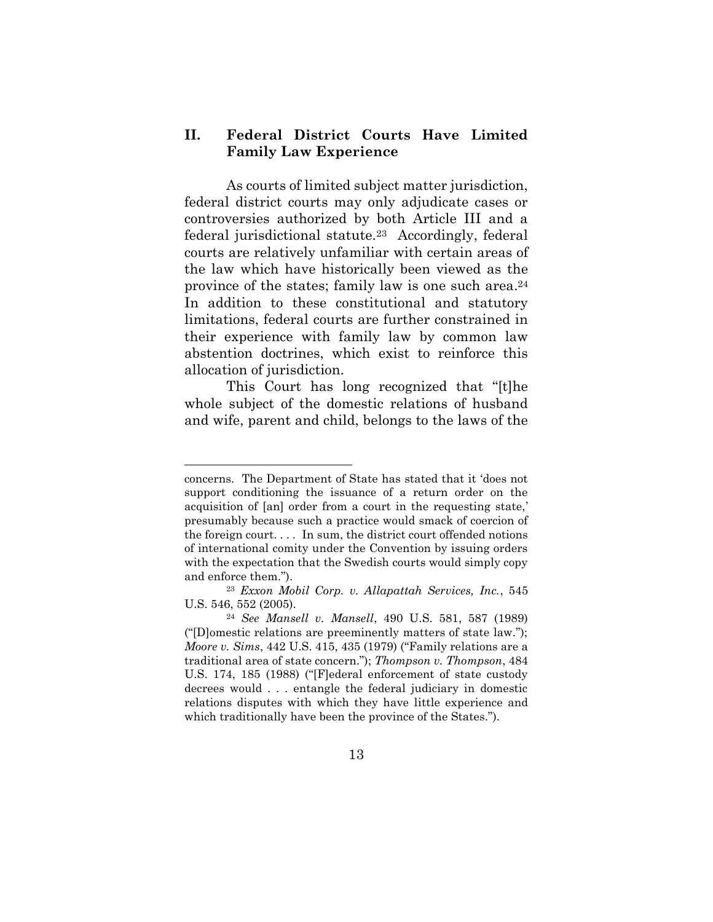### **II. Federal District Courts Have Limited Family Law Experience**

As courts of limited subject matter jurisdiction, federal district courts may only adjudicate cases or controversies authorized by both Article III and a federal jurisdictional statute.23 Accordingly, federal courts are relatively unfamiliar with certain areas of the law which have historically been viewed as the province of the states; family law is one such area. <sup>24</sup> In addition to these constitutional and statutory limitations, federal courts are further constrained in their experience with family law by common law abstention doctrines, which exist to reinforce this allocation of jurisdiction.

This Court has long recognized that "[t]he whole subject of the domestic relations of husband and wife, parent and child, belongs to the laws of the

concerns. The Department of State has stated that it 'does not support conditioning the issuance of a return order on the acquisition of [an] order from a court in the requesting state,' presumably because such a practice would smack of coercion of the foreign court. . . . In sum, the district court offended notions of international comity under the Convention by issuing orders with the expectation that the Swedish courts would simply copy and enforce them.").

<sup>23</sup> *Exxon Mobil Corp. v. Allapattah Services, Inc.*, 545 U.S. 546, 552 (2005).

<sup>24</sup> *See Mansell v. Mansell*, 490 U.S. 581, 587 (1989) ("[D]omestic relations are preeminently matters of state law."); *Moore v. Sims*, 442 U.S. 415, 435 (1979) ("Family relations are a traditional area of state concern."); *Thompson v. Thompson*, 484 U.S. 174, 185 (1988) ("[F]ederal enforcement of state custody decrees would . . . entangle the federal judiciary in domestic relations disputes with which they have little experience and which traditionally have been the province of the States.").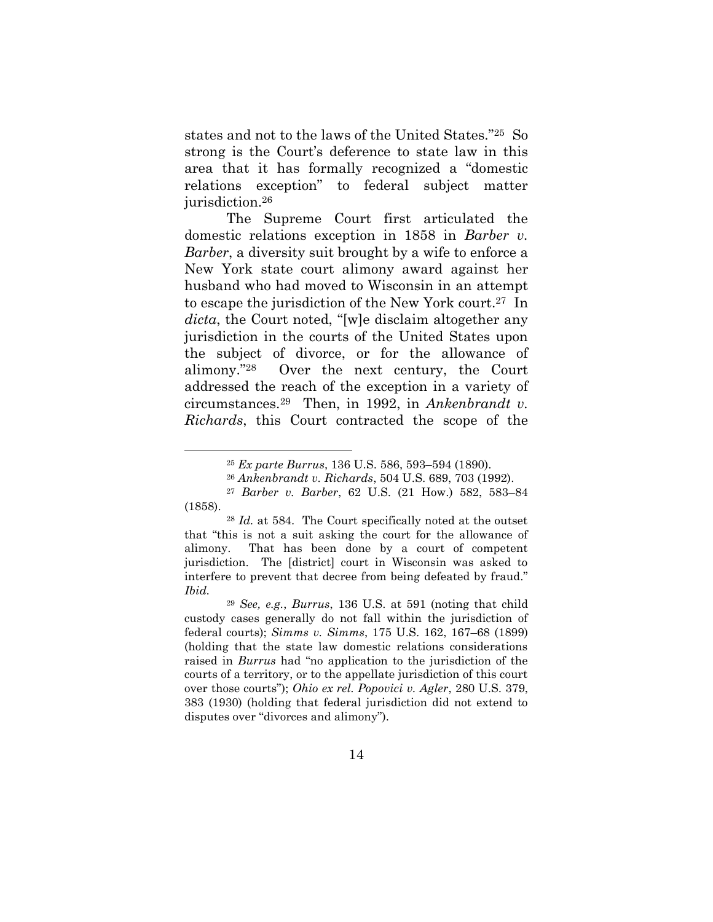states and not to the laws of the United States."25 So strong is the Court's deference to state law in this area that it has formally recognized a "domestic relations exception" to federal subject matter jurisdiction.<sup>26</sup>

The Supreme Court first articulated the domestic relations exception in 1858 in *Barber v. Barber*, a diversity suit brought by a wife to enforce a New York state court alimony award against her husband who had moved to Wisconsin in an attempt to escape the jurisdiction of the New York court. <sup>27</sup> In *dicta*, the Court noted, "[w]e disclaim altogether any jurisdiction in the courts of the United States upon the subject of divorce, or for the allowance of alimony."28 Over the next century, the Court addressed the reach of the exception in a variety of circumstances. <sup>29</sup> Then, in 1992, in *Ankenbrandt v. Richards*, this Court contracted the scope of the

<sup>25</sup> *Ex parte Burrus*, 136 U.S. 586, 593–594 (1890).

<sup>26</sup> *Ankenbrandt v. Richards*, 504 U.S. 689, 703 (1992).

<sup>27</sup> *Barber v. Barber*, 62 U.S. (21 How.) 582, 583–84 (1858).

<sup>28</sup> *Id.* at 584. The Court specifically noted at the outset that "this is not a suit asking the court for the allowance of alimony. That has been done by a court of competent jurisdiction. The [district] court in Wisconsin was asked to interfere to prevent that decree from being defeated by fraud." *Ibid.*

<sup>29</sup> *See, e.g.*, *Burrus*, 136 U.S. at 591 (noting that child custody cases generally do not fall within the jurisdiction of federal courts); *Simms v. Simms*, 175 U.S. 162, 167–68 (1899) (holding that the state law domestic relations considerations raised in *Burrus* had "no application to the jurisdiction of the courts of a territory, or to the appellate jurisdiction of this court over those courts"); *Ohio ex rel. Popovici v. Agler*, 280 U.S. 379, 383 (1930) (holding that federal jurisdiction did not extend to disputes over "divorces and alimony").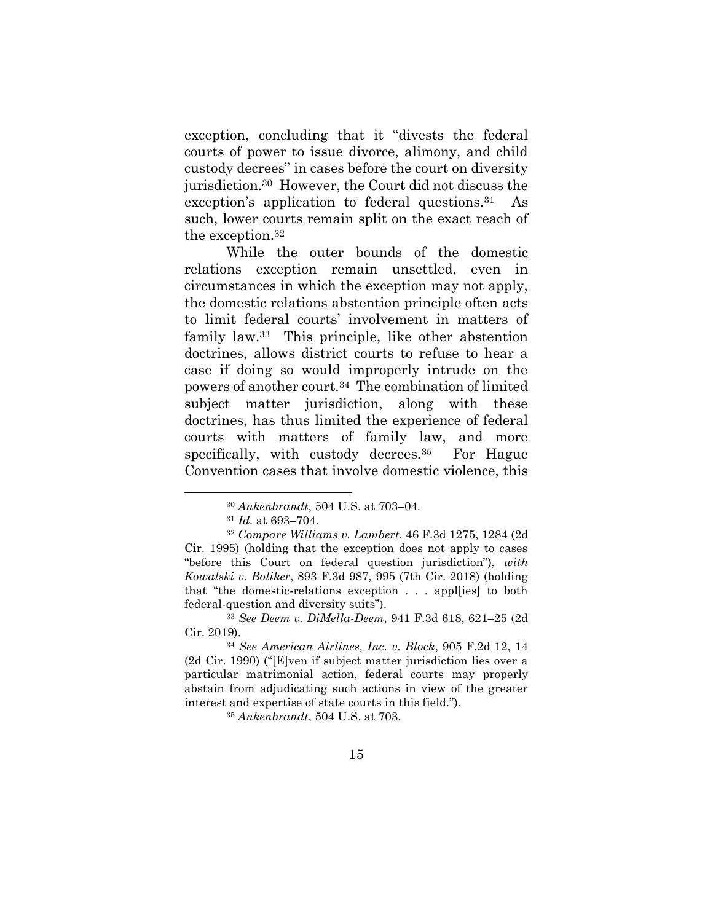exception, concluding that it "divests the federal courts of power to issue divorce, alimony, and child custody decrees" in cases before the court on diversity jurisdiction.30 However, the Court did not discuss the exception's application to federal questions.<sup>31</sup> As such, lower courts remain split on the exact reach of the exception.<sup>32</sup>

While the outer bounds of the domestic relations exception remain unsettled, even in circumstances in which the exception may not apply, the domestic relations abstention principle often acts to limit federal courts' involvement in matters of family law. <sup>33</sup> This principle, like other abstention doctrines, allows district courts to refuse to hear a case if doing so would improperly intrude on the powers of another court.34 The combination of limited subject matter jurisdiction, along with these doctrines, has thus limited the experience of federal courts with matters of family law, and more specifically, with custody decrees.<sup>35</sup> For Hague Convention cases that involve domestic violence, this

<sup>35</sup> *Ankenbrandt*, 504 U.S. at 703.

<sup>30</sup> *Ankenbrandt*, 504 U.S. at 703–04.

<sup>31</sup> *Id.* at 693–704.

<sup>32</sup> *Compare Williams v. Lambert*, 46 F.3d 1275, 1284 (2d Cir. 1995) (holding that the exception does not apply to cases "before this Court on federal question jurisdiction"), *with Kowalski v. Boliker*, 893 F.3d 987, 995 (7th Cir. 2018) (holding that "the domestic-relations exception . . . appl[ies] to both federal-question and diversity suits").

<sup>33</sup> *See Deem v. DiMella-Deem*, 941 F.3d 618, 621–25 (2d Cir. 2019).

<sup>34</sup> *See American Airlines, Inc. v. Block*, 905 F.2d 12, 14 (2d Cir. 1990) ("[E]ven if subject matter jurisdiction lies over a particular matrimonial action, federal courts may properly abstain from adjudicating such actions in view of the greater interest and expertise of state courts in this field.").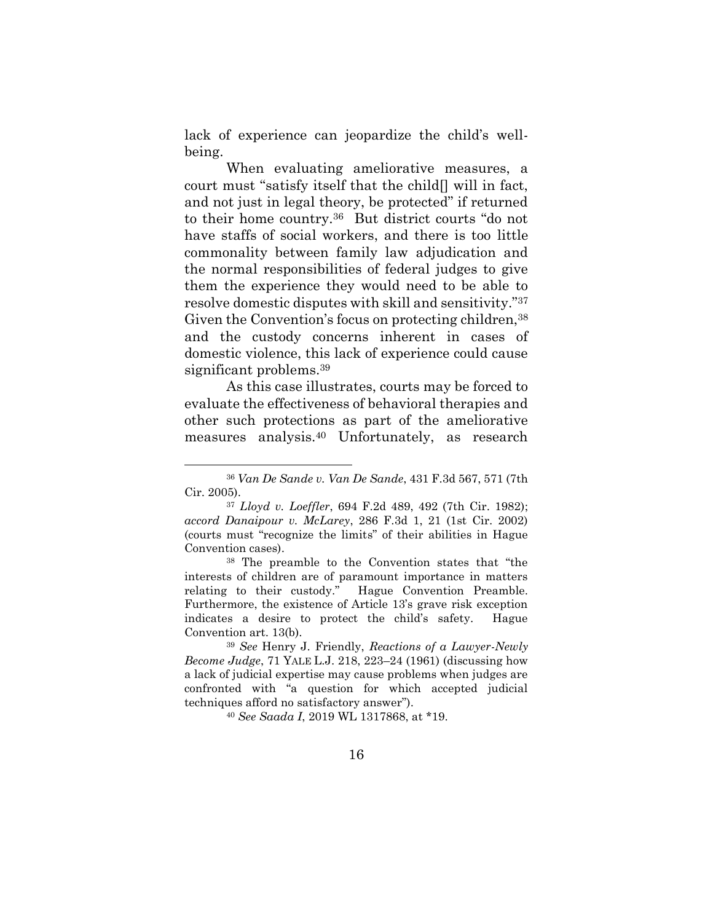lack of experience can jeopardize the child's wellbeing.

When evaluating ameliorative measures, a court must "satisfy itself that the child[] will in fact, and not just in legal theory, be protected" if returned to their home country.36 But district courts "do not have staffs of social workers, and there is too little commonality between family law adjudication and the normal responsibilities of federal judges to give them the experience they would need to be able to resolve domestic disputes with skill and sensitivity."<sup>37</sup> Given the Convention's focus on protecting children, 38 and the custody concerns inherent in cases of domestic violence, this lack of experience could cause significant problems.<sup>39</sup>

As this case illustrates, courts may be forced to evaluate the effectiveness of behavioral therapies and other such protections as part of the ameliorative measures analysis.<sup>40</sup> Unfortunately, as research

<sup>38</sup> The preamble to the Convention states that "the interests of children are of paramount importance in matters relating to their custody." Hague Convention Preamble. Furthermore, the existence of Article 13's grave risk exception indicates a desire to protect the child's safety. Hague Convention art. 13(b).

<sup>40</sup> *See Saada I*, 2019 WL 1317868, at \*19.

<sup>36</sup> *Van De Sande v. Van De Sande*, 431 F.3d 567, 571 (7th Cir. 2005).

<sup>37</sup> *Lloyd v. Loeffler*, 694 F.2d 489, 492 (7th Cir. 1982); *accord Danaipour v. McLarey*, 286 F.3d 1, 21 (1st Cir. 2002) (courts must "recognize the limits" of their abilities in Hague Convention cases).

<sup>39</sup> *See* Henry J. Friendly, *Reactions of a Lawyer-Newly Become Judge*, 71 YALE L.J. 218, 223–24 (1961) (discussing how a lack of judicial expertise may cause problems when judges are confronted with "a question for which accepted judicial techniques afford no satisfactory answer").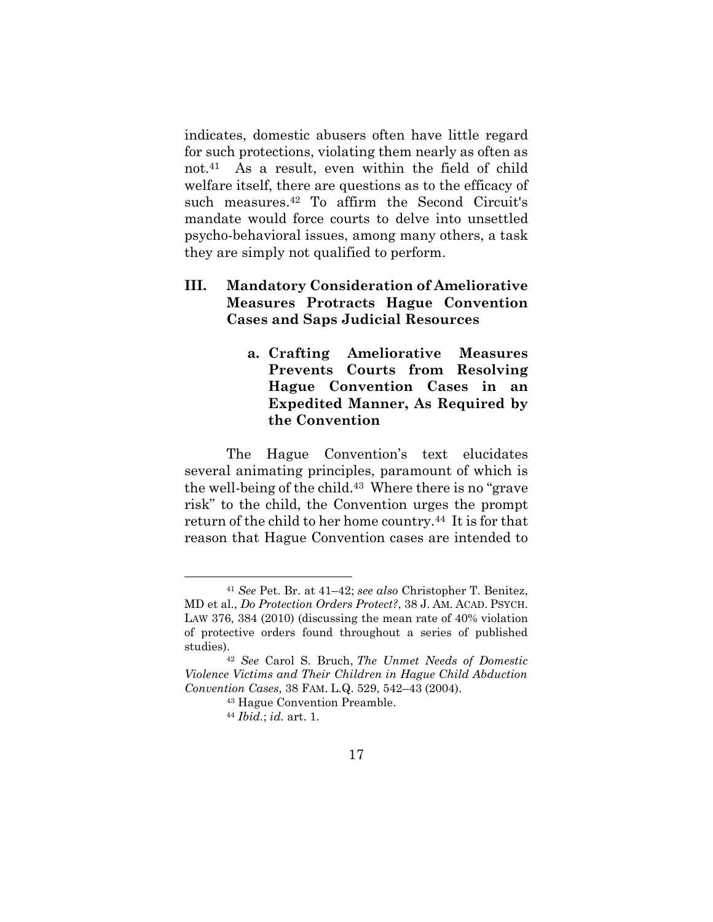indicates, domestic abusers often have little regard for such protections, violating them nearly as often as not. <sup>41</sup> As a result, even within the field of child welfare itself, there are questions as to the efficacy of such measures.<sup>42</sup> To affirm the Second Circuit's mandate would force courts to delve into unsettled psycho-behavioral issues, among many others, a task they are simply not qualified to perform.

### **III. Mandatory Consideration of Ameliorative Measures Protracts Hague Convention Cases and Saps Judicial Resources**

**a. Crafting Ameliorative Measures Prevents Courts from Resolving Hague Convention Cases in an Expedited Manner, As Required by the Convention**

The Hague Convention's text elucidates several animating principles, paramount of which is the well-being of the child.<sup>43</sup> Where there is no "grave risk" to the child, the Convention urges the prompt return of the child to her home country.44 It is for that reason that Hague Convention cases are intended to

<sup>41</sup> *See* Pet. Br. at 41–42; *see also* Christopher T. Benitez, MD et al., *Do Protection Orders Protect?*, 38 J. AM. ACAD. PSYCH. LAW 376, 384 (2010) (discussing the mean rate of 40% violation of protective orders found throughout a series of published studies).

<sup>42</sup> *See* Carol S. Bruch, *The Unmet Needs of Domestic Violence Victims and Their Children in Hague Child Abduction Convention Cases*, 38 FAM. L.Q. 529, 542–43 (2004).

<sup>43</sup> Hague Convention Preamble.

<sup>44</sup> *Ibid.*; *id.* art. 1.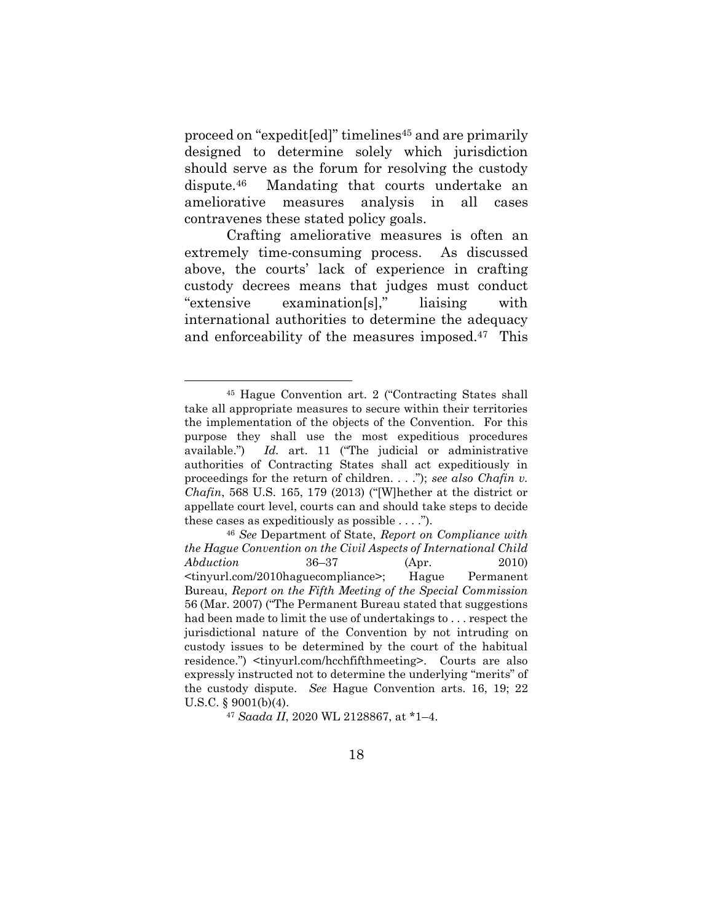proceed on "expedit[ed]" timelines<sup>45</sup> and are primarily designed to determine solely which jurisdiction should serve as the forum for resolving the custody dispute.46 Mandating that courts undertake an ameliorative measures analysis in all cases contravenes these stated policy goals.

Crafting ameliorative measures is often an extremely time-consuming process. As discussed above, the courts' lack of experience in crafting custody decrees means that judges must conduct "extensive examination[s]," liaising with international authorities to determine the adequacy and enforceability of the measures imposed. <sup>47</sup> This

<sup>47</sup> *Saada II*, 2020 WL 2128867, at \*1–4.

<sup>45</sup> Hague Convention art. 2 ("Contracting States shall take all appropriate measures to secure within their territories the implementation of the objects of the Convention. For this purpose they shall use the most expeditious procedures available.") *Id.* art. 11 ("The judicial or administrative authorities of Contracting States shall act expeditiously in proceedings for the return of children. . . ."); *see also Chafin v. Chafin*, 568 U.S. 165, 179 (2013) ("[W]hether at the district or appellate court level, courts can and should take steps to decide these cases as expeditiously as possible  $\dots$ .").

<sup>46</sup> *See* Department of State, *Report on Compliance with the Hague Convention on the Civil Aspects of International Child Abduction* 36–37 (Apr. 2010) <tinyurl.com/2010haguecompliance>; Hague Permanent Bureau, *Report on the Fifth Meeting of the Special Commission* 56 (Mar. 2007) ("The Permanent Bureau stated that suggestions had been made to limit the use of undertakings to . . . respect the jurisdictional nature of the Convention by not intruding on custody issues to be determined by the court of the habitual residence.") <tinyurl.com/hcchfifthmeeting>. Courts are also expressly instructed not to determine the underlying "merits" of the custody dispute. *See* Hague Convention arts. 16, 19; 22 U.S.C. § 9001(b)(4).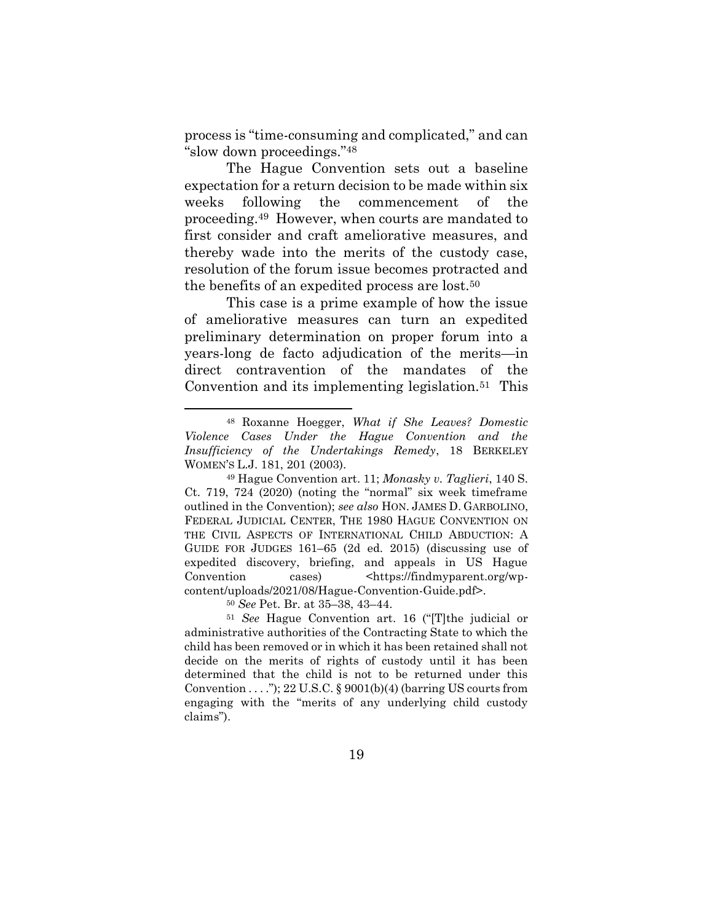process is "time-consuming and complicated," and can "slow down proceedings."<sup>48</sup>

The Hague Convention sets out a baseline expectation for a return decision to be made within six weeks following the commencement of the proceeding.49 However, when courts are mandated to first consider and craft ameliorative measures, and thereby wade into the merits of the custody case, resolution of the forum issue becomes protracted and the benefits of an expedited process are lost.<sup>50</sup>

This case is a prime example of how the issue of ameliorative measures can turn an expedited preliminary determination on proper forum into a years-long de facto adjudication of the merits—in direct contravention of the mandates of the Convention and its implementing legislation.51 This

<sup>50</sup> *See* Pet. Br. at 35–38, 43–44.

<sup>48</sup> Roxanne Hoegger, *What if She Leaves? Domestic Violence Cases Under the Hague Convention and the Insufficiency of the Undertakings Remedy*, 18 BERKELEY WOMEN'S L.J. 181, 201 (2003).

<sup>49</sup> Hague Convention art. 11; *Monasky v. Taglieri*, 140 S. Ct. 719, 724 (2020) (noting the "normal" six week timeframe outlined in the Convention); *see also* HON. JAMES D. GARBOLINO, FEDERAL JUDICIAL CENTER, THE 1980 HAGUE CONVENTION ON THE CIVIL ASPECTS OF INTERNATIONAL CHILD ABDUCTION: A GUIDE FOR JUDGES 161–65 (2d ed. 2015) (discussing use of expedited discovery, briefing, and appeals in US Hague Convention cases) <https://findmyparent.org/wpcontent/uploads/2021/08/Hague-Convention-Guide.pdf>.

<sup>51</sup> *See* Hague Convention art. 16 ("[T]the judicial or administrative authorities of the Contracting State to which the child has been removed or in which it has been retained shall not decide on the merits of rights of custody until it has been determined that the child is not to be returned under this Convention  $\dots$ "); 22 U.S.C. § 9001(b)(4) (barring US courts from engaging with the "merits of any underlying child custody claims").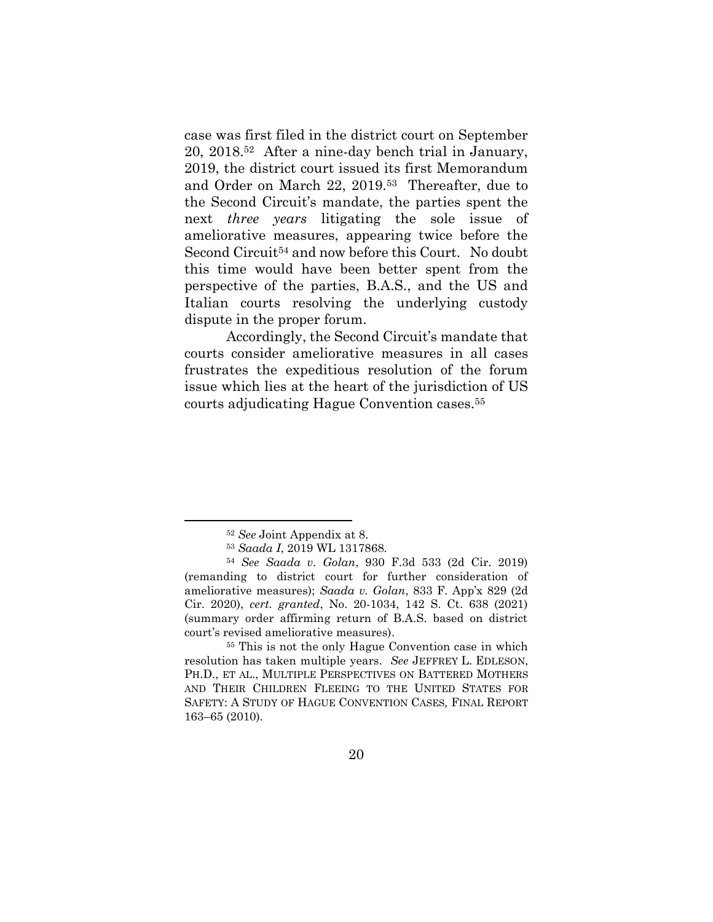case was first filed in the district court on September 20, 2018.52 After a nine-day bench trial in January, 2019, the district court issued its first Memorandum and Order on March 22, 2019.53 Thereafter, due to the Second Circuit's mandate, the parties spent the next *three years* litigating the sole issue of ameliorative measures, appearing twice before the Second Circuit<sup>54</sup> and now before this Court. No doubt this time would have been better spent from the perspective of the parties, B.A.S., and the US and Italian courts resolving the underlying custody dispute in the proper forum.

Accordingly, the Second Circuit's mandate that courts consider ameliorative measures in all cases frustrates the expeditious resolution of the forum issue which lies at the heart of the jurisdiction of US courts adjudicating Hague Convention cases.<sup>55</sup>

<sup>52</sup> *See* Joint Appendix at 8.

<sup>53</sup> *Saada I*, 2019 WL 1317868.

<sup>54</sup> *See Saada v. Golan*, 930 F.3d 533 (2d Cir. 2019) (remanding to district court for further consideration of ameliorative measures); *Saada v. Golan*, 833 F. App'x 829 (2d Cir. 2020), *cert. granted*, No. 20-1034, 142 S. Ct. 638 (2021) (summary order affirming return of B.A.S. based on district court's revised ameliorative measures).

<sup>55</sup> This is not the only Hague Convention case in which resolution has taken multiple years. *See* JEFFREY L. EDLESON, PH.D., ET AL., MULTIPLE PERSPECTIVES ON BATTERED MOTHERS AND THEIR CHILDREN FLEEING TO THE UNITED STATES FOR SAFETY: A STUDY OF HAGUE CONVENTION CASES*,* FINAL REPORT 163–65 (2010).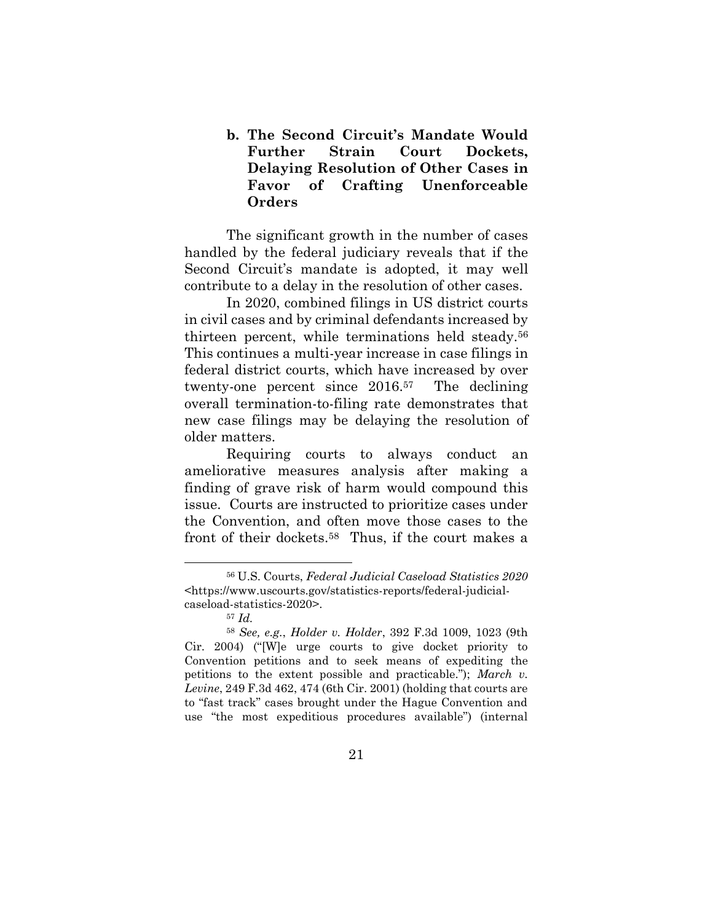**b. The Second Circuit's Mandate Would Further Strain Court Dockets, Delaying Resolution of Other Cases in Favor of Crafting Unenforceable Orders**

The significant growth in the number of cases handled by the federal judiciary reveals that if the Second Circuit's mandate is adopted, it may well contribute to a delay in the resolution of other cases.

In 2020, combined filings in US district courts in civil cases and by criminal defendants increased by thirteen percent, while terminations held steady.<sup>56</sup> This continues a multi-year increase in case filings in federal district courts, which have increased by over twenty-one percent since 2016.57 The declining overall termination-to-filing rate demonstrates that new case filings may be delaying the resolution of older matters.

Requiring courts to always conduct an ameliorative measures analysis after making a finding of grave risk of harm would compound this issue. Courts are instructed to prioritize cases under the Convention, and often move those cases to the front of their dockets.58 Thus, if the court makes a

<sup>56</sup> U.S. Courts, *Federal Judicial Caseload Statistics 2020* <https://www.uscourts.gov/statistics-reports/federal-judicialcaseload-statistics-2020>.

<sup>57</sup> *Id.*

<sup>58</sup> *See, e.g.*, *Holder v. Holder*, 392 F.3d 1009, 1023 (9th Cir. 2004) ("[W]e urge courts to give docket priority to Convention petitions and to seek means of expediting the petitions to the extent possible and practicable."); *March v. Levine*, 249 F.3d 462, 474 (6th Cir. 2001) (holding that courts are to "fast track" cases brought under the Hague Convention and use "the most expeditious procedures available") (internal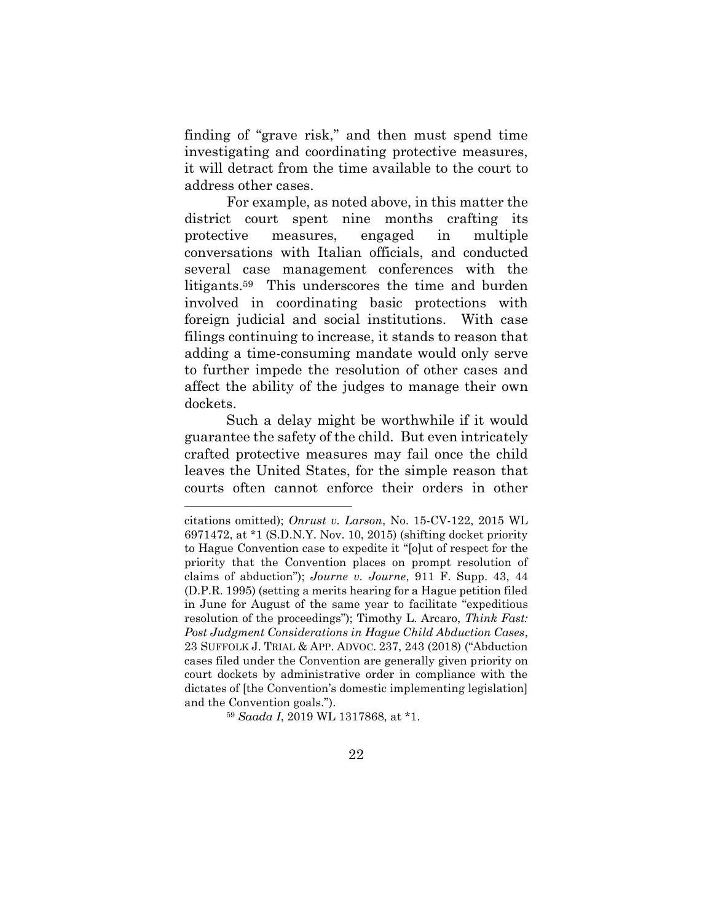finding of "grave risk," and then must spend time investigating and coordinating protective measures, it will detract from the time available to the court to address other cases.

For example, as noted above, in this matter the district court spent nine months crafting its protective measures, engaged in multiple conversations with Italian officials, and conducted several case management conferences with the litigants.59 This underscores the time and burden involved in coordinating basic protections with foreign judicial and social institutions. With case filings continuing to increase, it stands to reason that adding a time-consuming mandate would only serve to further impede the resolution of other cases and affect the ability of the judges to manage their own dockets.

Such a delay might be worthwhile if it would guarantee the safety of the child. But even intricately crafted protective measures may fail once the child leaves the United States, for the simple reason that courts often cannot enforce their orders in other

<sup>59</sup> *Saada I*, 2019 WL 1317868, at \*1.

citations omitted); *Onrust v. Larson*, No. 15-CV-122, 2015 WL 6971472, at \*1 (S.D.N.Y. Nov. 10, 2015) (shifting docket priority to Hague Convention case to expedite it "[o]ut of respect for the priority that the Convention places on prompt resolution of claims of abduction"); *Journe v. Journe*, 911 F. Supp. 43, 44 (D.P.R. 1995) (setting a merits hearing for a Hague petition filed in June for August of the same year to facilitate "expeditious resolution of the proceedings"); Timothy L. Arcaro, *Think Fast: Post Judgment Considerations in Hague Child Abduction Cases*, 23 SUFFOLK J. TRIAL & APP. ADVOC. 237, 243 (2018) ("Abduction cases filed under the Convention are generally given priority on court dockets by administrative order in compliance with the dictates of [the Convention's domestic implementing legislation] and the Convention goals.").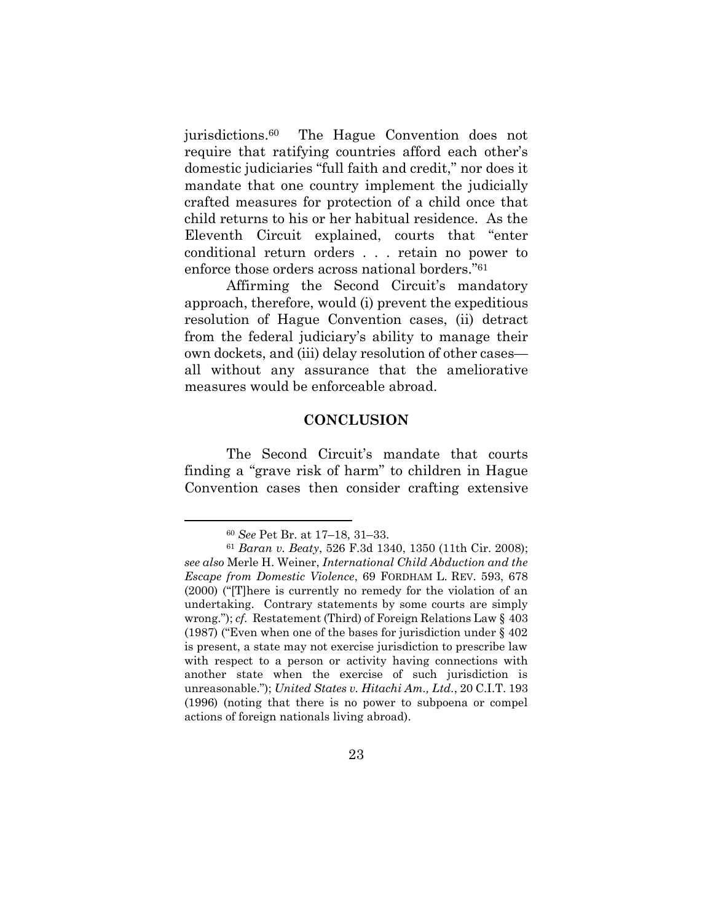jurisdictions.<sup>60</sup> The Hague Convention does not require that ratifying countries afford each other's domestic judiciaries "full faith and credit," nor does it mandate that one country implement the judicially crafted measures for protection of a child once that child returns to his or her habitual residence. As the Eleventh Circuit explained, courts that "enter conditional return orders . . . retain no power to enforce those orders across national borders."<sup>61</sup>

Affirming the Second Circuit's mandatory approach, therefore, would (i) prevent the expeditious resolution of Hague Convention cases, (ii) detract from the federal judiciary's ability to manage their own dockets, and (iii) delay resolution of other cases all without any assurance that the ameliorative measures would be enforceable abroad.

#### **CONCLUSION**

The Second Circuit's mandate that courts finding a "grave risk of harm" to children in Hague Convention cases then consider crafting extensive

<sup>60</sup> *See* Pet Br. at 17–18, 31–33.

<sup>61</sup> *Baran v. Beaty*, 526 F.3d 1340, 1350 (11th Cir. 2008); *see also* Merle H. Weiner, *International Child Abduction and the Escape from Domestic Violence*, 69 FORDHAM L. REV. 593, 678 (2000) ("[T]here is currently no remedy for the violation of an undertaking. Contrary statements by some courts are simply wrong."); *cf.* Restatement (Third) of Foreign Relations Law § 403 (1987) ("Even when one of the bases for jurisdiction under § 402 is present, a state may not exercise jurisdiction to prescribe law with respect to a person or activity having connections with another state when the exercise of such jurisdiction is unreasonable."); *United States v. Hitachi Am., Ltd.*, 20 C.I.T. 193 (1996) (noting that there is no power to subpoena or compel actions of foreign nationals living abroad).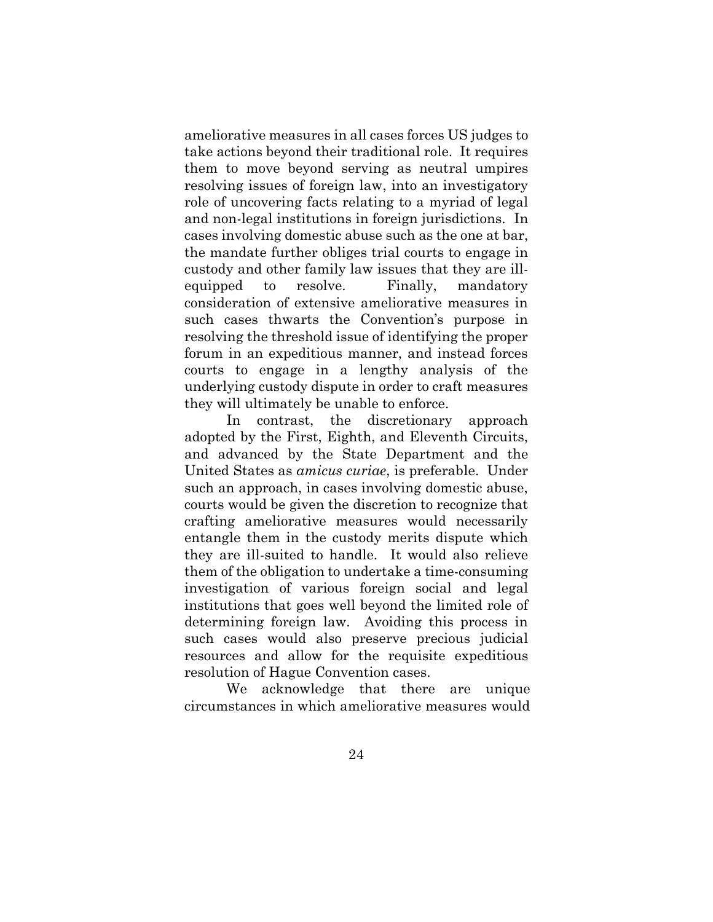ameliorative measures in all cases forces US judges to take actions beyond their traditional role. It requires them to move beyond serving as neutral umpires resolving issues of foreign law, into an investigatory role of uncovering facts relating to a myriad of legal and non-legal institutions in foreign jurisdictions. In cases involving domestic abuse such as the one at bar, the mandate further obliges trial courts to engage in custody and other family law issues that they are illequipped to resolve. Finally, mandatory consideration of extensive ameliorative measures in such cases thwarts the Convention's purpose in resolving the threshold issue of identifying the proper forum in an expeditious manner, and instead forces courts to engage in a lengthy analysis of the underlying custody dispute in order to craft measures they will ultimately be unable to enforce.

In contrast, the discretionary approach adopted by the First, Eighth, and Eleventh Circuits, and advanced by the State Department and the United States as *amicus curiae*, is preferable. Under such an approach, in cases involving domestic abuse, courts would be given the discretion to recognize that crafting ameliorative measures would necessarily entangle them in the custody merits dispute which they are ill-suited to handle. It would also relieve them of the obligation to undertake a time-consuming investigation of various foreign social and legal institutions that goes well beyond the limited role of determining foreign law. Avoiding this process in such cases would also preserve precious judicial resources and allow for the requisite expeditious resolution of Hague Convention cases.

We acknowledge that there are unique circumstances in which ameliorative measures would